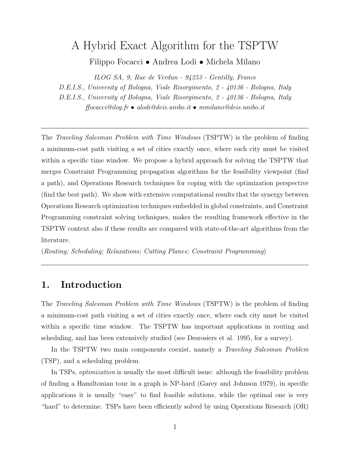# A Hybrid Exact Algorithm for the TSPTW

Filippo Focacci • Andrea Lodi • Michela Milano

ILOG SA, 9, Rue de Verdun - 94253 - Gentilly, France

D.E.I.S., University of Bologna, Viale Risorgimento, 2 - 40136 - Bologna, Italy

D.E.I.S., University of Bologna, Viale Risorgimento, 2 - 40136 - Bologna, Italy

 $f_{\text{focacci}}@iloq.fr \bullet \text{ } a\text{ } l\text{ } o\text{ } d\text{ } e\text{ } is.\text{} unibo.it \bullet \text{ } mmilano@deis.\text{} unibo.it$ 

The Traveling Salesman Problem with Time Windows (TSPTW) is the problem of finding a minimum-cost path visiting a set of cities exactly once, where each city must be visited within a specific time window. We propose a hybrid approach for solving the TSPTW that merges Constraint Programming propagation algorithms for the feasibility viewpoint (find a path), and Operations Research techniques for coping with the optimization perspective (find the best path). We show with extensive computational results that the synergy between Operations Research optimization techniques embedded in global constraints, and Constraint Programming constraint solving techniques, makes the resulting framework effective in the TSPTW context also if these results are compared with state-of-the-art algorithms from the literature.

(Routing; Scheduling; Relaxations; Cutting Planes; Constraint Programming)

# 1. Introduction

The Traveling Salesman Problem with Time Windows (TSPTW) is the problem of finding a minimum-cost path visiting a set of cities exactly once, where each city must be visited within a specific time window. The TSPTW has important applications in routing and scheduling, and has been extensively studied (see Desrosiers et al. 1995, for a survey).

In the TSPTW two main components coexist, namely a *Traveling Salesman Problem* (TSP), and a scheduling problem.

In TSPs, *optimization* is usually the most difficult issue: although the feasibility problem of finding a Hamiltonian tour in a graph is NP-hard (Garey and Johnson 1979), in specific applications it is usually "easy" to find feasible solutions, while the optimal one is very "hard" to determine. TSPs have been efficiently solved by using Operations Research (OR)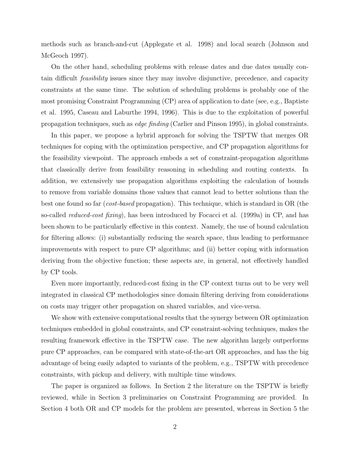methods such as branch-and-cut (Applegate et al. 1998) and local search (Johnson and McGeoch 1997).

On the other hand, scheduling problems with release dates and due dates usually contain difficult feasibility issues since they may involve disjunctive, precedence, and capacity constraints at the same time. The solution of scheduling problems is probably one of the most promising Constraint Programming (CP) area of application to date (see, e.g., Baptiste et al. 1995, Caseau and Laburthe 1994, 1996). This is due to the exploitation of powerful propagation techniques, such as edge finding (Carlier and Pinson 1995), in global constraints.

In this paper, we propose a hybrid approach for solving the TSPTW that merges OR techniques for coping with the optimization perspective, and CP propagation algorithms for the feasibility viewpoint. The approach embeds a set of constraint-propagation algorithms that classically derive from feasibility reasoning in scheduling and routing contexts. In addition, we extensively use propagation algorithms exploiting the calculation of bounds to remove from variable domains those values that cannot lead to better solutions than the best one found so far (*cost-based* propagation). This technique, which is standard in OR (the so-called *reduced-cost fixing*), has been introduced by Focacci et al. (1999a) in CP, and has been shown to be particularly effective in this context. Namely, the use of bound calculation for filtering allows: (i) substantially reducing the search space, thus leading to performance improvements with respect to pure CP algorithms; and (ii) better coping with information deriving from the objective function; these aspects are, in general, not effectively handled by CP tools.

Even more importantly, reduced-cost fixing in the CP context turns out to be very well integrated in classical CP methodologies since domain filtering deriving from considerations on costs may trigger other propagation on shared variables, and vice-versa.

We show with extensive computational results that the synergy between OR optimization techniques embedded in global constraints, and CP constraint-solving techniques, makes the resulting framework effective in the TSPTW case. The new algorithm largely outperforms pure CP approaches, can be compared with state-of-the-art OR approaches, and has the big advantage of being easily adapted to variants of the problem, e.g., TSPTW with precedence constraints, with pickup and delivery, with multiple time windows.

The paper is organized as follows. In Section 2 the literature on the TSPTW is briefly reviewed, while in Section 3 preliminaries on Constraint Programming are provided. In Section 4 both OR and CP models for the problem are presented, whereas in Section 5 the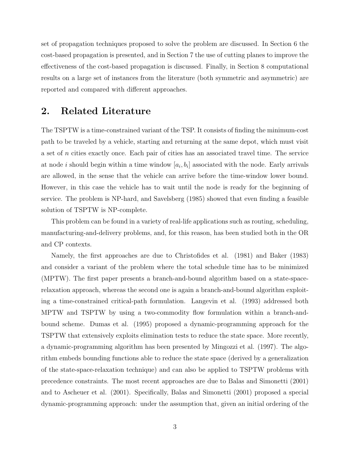set of propagation techniques proposed to solve the problem are discussed. In Section 6 the cost-based propagation is presented, and in Section 7 the use of cutting planes to improve the effectiveness of the cost-based propagation is discussed. Finally, in Section 8 computational results on a large set of instances from the literature (both symmetric and asymmetric) are reported and compared with different approaches.

# 2. Related Literature

The TSPTW is a time-constrained variant of the TSP. It consists of finding the minimum-cost path to be traveled by a vehicle, starting and returning at the same depot, which must visit a set of n cities exactly once. Each pair of cities has an associated travel time. The service at node *i* should begin within a time window  $[a_i, b_i]$  associated with the node. Early arrivals are allowed, in the sense that the vehicle can arrive before the time-window lower bound. However, in this case the vehicle has to wait until the node is ready for the beginning of service. The problem is NP-hard, and Savelsberg (1985) showed that even finding a feasible solution of TSPTW is NP-complete.

This problem can be found in a variety of real-life applications such as routing, scheduling, manufacturing-and-delivery problems, and, for this reason, has been studied both in the OR and CP contexts.

Namely, the first approaches are due to Christofides et al. (1981) and Baker (1983) and consider a variant of the problem where the total schedule time has to be minimized (MPTW). The first paper presents a branch-and-bound algorithm based on a state-spacerelaxation approach, whereas the second one is again a branch-and-bound algorithm exploiting a time-constrained critical-path formulation. Langevin et al. (1993) addressed both MPTW and TSPTW by using a two-commodity flow formulation within a branch-andbound scheme. Dumas et al. (1995) proposed a dynamic-programming approach for the TSPTW that extensively exploits elimination tests to reduce the state space. More recently, a dynamic-programming algorithm has been presented by Mingozzi et al. (1997). The algorithm embeds bounding functions able to reduce the state space (derived by a generalization of the state-space-relaxation technique) and can also be applied to TSPTW problems with precedence constraints. The most recent approaches are due to Balas and Simonetti (2001) and to Ascheuer et al. (2001). Specifically, Balas and Simonetti (2001) proposed a special dynamic-programming approach: under the assumption that, given an initial ordering of the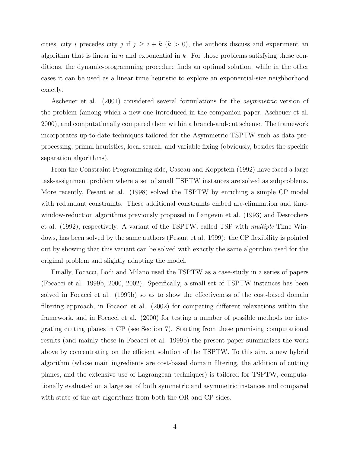cities, city i precedes city j if  $j \geq i + k$   $(k > 0)$ , the authors discuss and experiment an algorithm that is linear in n and exponential in  $k$ . For those problems satisfying these conditions, the dynamic-programming procedure finds an optimal solution, while in the other cases it can be used as a linear time heuristic to explore an exponential-size neighborhood exactly.

Ascheuer et al. (2001) considered several formulations for the *asymmetric* version of the problem (among which a new one introduced in the companion paper, Ascheuer et al. 2000), and computationally compared them within a branch-and-cut scheme. The framework incorporates up-to-date techniques tailored for the Asymmetric TSPTW such as data preprocessing, primal heuristics, local search, and variable fixing (obviously, besides the specific separation algorithms).

From the Constraint Programming side, Caseau and Koppstein (1992) have faced a large task-assignment problem where a set of small TSPTW instances are solved as subproblems. More recently, Pesant et al. (1998) solved the TSPTW by enriching a simple CP model with redundant constraints. These additional constraints embed arc-elimination and timewindow-reduction algorithms previously proposed in Langevin et al. (1993) and Desrochers et al. (1992), respectively. A variant of the TSPTW, called TSP with multiple Time Windows, has been solved by the same authors (Pesant et al. 1999): the CP flexibility is pointed out by showing that this variant can be solved with exactly the same algorithm used for the original problem and slightly adapting the model.

Finally, Focacci, Lodi and Milano used the TSPTW as a case-study in a series of papers (Focacci et al. 1999b, 2000, 2002). Specifically, a small set of TSPTW instances has been solved in Focacci et al. (1999b) so as to show the effectiveness of the cost-based domain filtering approach, in Focacci et al. (2002) for comparing different relaxations within the framework, and in Focacci et al. (2000) for testing a number of possible methods for integrating cutting planes in CP (see Section 7). Starting from these promising computational results (and mainly those in Focacci et al. 1999b) the present paper summarizes the work above by concentrating on the efficient solution of the TSPTW. To this aim, a new hybrid algorithm (whose main ingredients are cost-based domain filtering, the addition of cutting planes, and the extensive use of Lagrangean techniques) is tailored for TSPTW, computationally evaluated on a large set of both symmetric and asymmetric instances and compared with state-of-the-art algorithms from both the OR and CP sides.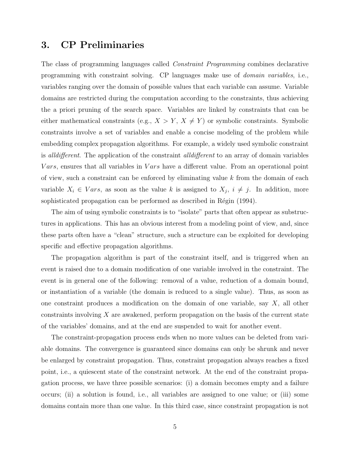# 3. CP Preliminaries

The class of programming languages called Constraint Programming combines declarative programming with constraint solving. CP languages make use of domain variables, i.e., variables ranging over the domain of possible values that each variable can assume. Variable domains are restricted during the computation according to the constraints, thus achieving the a priori pruning of the search space. Variables are linked by constraints that can be either mathematical constraints (e.g.,  $X > Y$ ,  $X \neq Y$ ) or symbolic constraints. Symbolic constraints involve a set of variables and enable a concise modeling of the problem while embedding complex propagation algorithms. For example, a widely used symbolic constraint is alldifferent. The application of the constraint alldifferent to an array of domain variables *Vars*, ensures that all variables in *Vars* have a different value. From an operational point of view, such a constraint can be enforced by eliminating value  $k$  from the domain of each variable  $X_i \in Vars$ , as soon as the value k is assigned to  $X_j$ ,  $i \neq j$ . In addition, more sophisticated propagation can be performed as described in Régin (1994).

The aim of using symbolic constraints is to "isolate" parts that often appear as substructures in applications. This has an obvious interest from a modeling point of view, and, since these parts often have a "clean" structure, such a structure can be exploited for developing specific and effective propagation algorithms.

The propagation algorithm is part of the constraint itself, and is triggered when an event is raised due to a domain modification of one variable involved in the constraint. The event is in general one of the following: removal of a value, reduction of a domain bound, or instantiation of a variable (the domain is reduced to a single value). Thus, as soon as one constraint produces a modification on the domain of one variable, say  $X$ , all other constraints involving X are awakened, perform propagation on the basis of the current state of the variables' domains, and at the end are suspended to wait for another event.

The constraint-propagation process ends when no more values can be deleted from variable domains. The convergence is guaranteed since domains can only be shrunk and never be enlarged by constraint propagation. Thus, constraint propagation always reaches a fixed point, i.e., a quiescent state of the constraint network. At the end of the constraint propagation process, we have three possible scenarios: (i) a domain becomes empty and a failure occurs; (ii) a solution is found, i.e., all variables are assigned to one value; or (iii) some domains contain more than one value. In this third case, since constraint propagation is not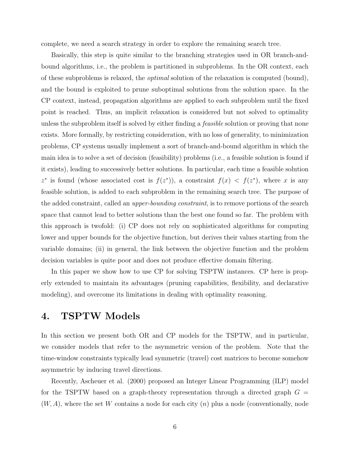complete, we need a search strategy in order to explore the remaining search tree.

Basically, this step is quite similar to the branching strategies used in OR branch-andbound algorithms, i.e., the problem is partitioned in subproblems. In the OR context, each of these subproblems is relaxed, the optimal solution of the relaxation is computed (bound), and the bound is exploited to prune suboptimal solutions from the solution space. In the CP context, instead, propagation algorithms are applied to each subproblem until the fixed point is reached. Thus, an implicit relaxation is considered but not solved to optimality unless the subproblem itself is solved by either finding a *feasible* solution or proving that none exists. More formally, by restricting consideration, with no loss of generality, to minimization problems, CP systems usually implement a sort of branch-and-bound algorithm in which the main idea is to solve a set of decision (feasibility) problems (i.e., a feasible solution is found if it exists), leading to successively better solutions. In particular, each time a feasible solution z<sup>\*</sup> is found (whose associated cost is  $f(z^*)$ ), a constraint  $f(x) < f(z^*)$ , where x is any feasible solution, is added to each subproblem in the remaining search tree. The purpose of the added constraint, called an *upper-bounding constraint*, is to remove portions of the search space that cannot lead to better solutions than the best one found so far. The problem with this approach is twofold: (i) CP does not rely on sophisticated algorithms for computing lower and upper bounds for the objective function, but derives their values starting from the variable domains; (ii) in general, the link between the objective function and the problem decision variables is quite poor and does not produce effective domain filtering.

In this paper we show how to use CP for solving TSPTW instances. CP here is properly extended to maintain its advantages (pruning capabilities, flexibility, and declarative modeling), and overcome its limitations in dealing with optimality reasoning.

# 4. TSPTW Models

In this section we present both OR and CP models for the TSPTW, and in particular, we consider models that refer to the asymmetric version of the problem. Note that the time-window constraints typically lead symmetric (travel) cost matrices to become somehow asymmetric by inducing travel directions.

Recently, Ascheuer et al. (2000) proposed an Integer Linear Programming (ILP) model for the TSPTW based on a graph-theory representation through a directed graph  $G =$  $(W, A)$ , where the set W contains a node for each city  $(n)$  plus a node (conventionally, node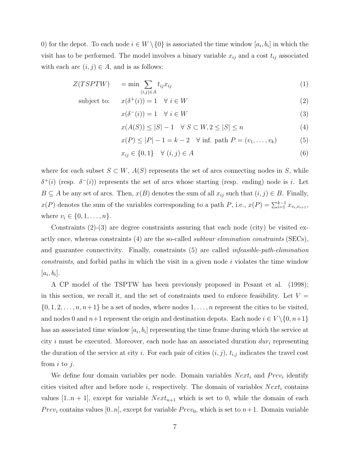0) for the depot. To each node  $i \in W \setminus \{0\}$  is associated the time window  $[a_i, b_i]$  in which the visit has to be performed. The model involves a binary variable  $x_{ij}$  and a cost  $t_{ij}$  associated with each arc  $(i, j) \in A$ , and is as follows:

$$
Z(TSPTW) = \min \sum_{(i,j)\in A} t_{ij} x_{ij}
$$
 (1)

subject to:

$$
x(\delta^+(i)) = 1 \quad \forall \ i \in W \tag{2}
$$

$$
x(\delta^-(i)) = 1 \quad \forall \ i \in W \tag{3}
$$

$$
x(A(S)) \le |S| - 1 \quad \forall \ S \subset W, 2 \le |S| \le n \tag{4}
$$

$$
x(P) \le |P| - 1 = k - 2 \quad \forall \text{ inf. path } P = (v_1, \dots, v_k)
$$
 (5)

$$
x_{ij} \in \{0, 1\} \quad \forall \ (i, j) \in A \tag{6}
$$

where for each subset  $S \subset W$ ,  $A(S)$  represents the set of arcs connecting nodes in S, while  $\delta^+(i)$  (resp.  $\delta^-(i)$ ) represents the set of arcs whose starting (resp. ending) node is i. Let  $B \subseteq A$  be any set of arcs. Then,  $x(B)$  denotes the sum of all  $x_{ij}$  such that  $(i, j) \in B$ . Finally,  $x(P)$  denotes the sum of the variables corresponding to a path P, i.e.,  $x(P) = \sum_{i=1}^{k-1} x_{v_i,v_{i+1}}$ , where  $v_i \in \{0, 1, ..., n\}$ .

Constraints  $(2)-(3)$  are degree constraints assuring that each node (city) be visited exactly once, whereas constraints (4) are the so-called *subtour elimination constraints* (SECs), and guarantee connectivity. Finally, constraints (5) are called infeasible-path-elimination constraints, and forbid paths in which the visit in a given node i violates the time window  $[a_i, b_i].$ 

A CP model of the TSPTW has been previously proposed in Pesant et al. (1998); in this section, we recall it, and the set of constraints used to enforce feasibility. Let  $V =$  $\{0, 1, 2, \ldots, n, n+1\}$  be a set of nodes, where nodes  $1, \ldots, n$  represent the cities to be visited, and nodes 0 and  $n+1$  represent the origin and destination depots. Each node  $i \in V \setminus \{0, n+1\}$ has an associated time window  $[a_i, b_i]$  representing the time frame during which the service at city i must be executed. Moreover, each node has an associated duration  $dur_i$  representing the duration of the service at city i. For each pair of cities  $(i, j)$ ,  $t_{i,j}$  indicates the travel cost from  $i$  to  $j$ .

We define four domain variables per node. Domain variables  $Next_i$  and  $Prev_i$  identify cities visited after and before node i, respectively. The domain of variables  $Next_i$  contains values [1.. $n + 1$ ], except for variable  $Next_{n+1}$  which is set to 0, while the domain of each Prev<sub>i</sub> contains values [0..*n*], except for variable Prev<sub>0</sub>, which is set to  $n+1$ . Domain variable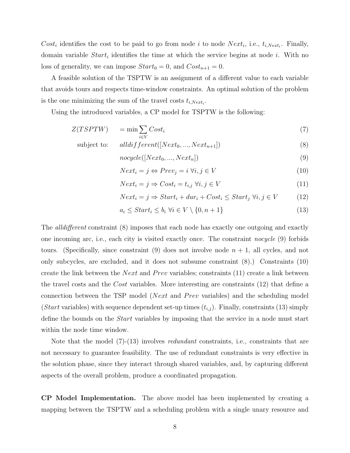Cost<sub>i</sub> identifies the cost to be paid to go from node *i* to node  $Next_i$ , i.e.,  $t_{i,Next_i}$ . Finally, domain variable  $Start_i$  identifies the time at which the service begins at node i. With no loss of generality, we can impose  $Start_0 = 0$ , and  $Cost_{n+1} = 0$ .

A feasible solution of the TSPTW is an assignment of a different value to each variable that avoids tours and respects time-window constraints. An optimal solution of the problem is the one minimizing the sum of the travel costs  $t_{i,Next_i}$ .

Using the introduced variables, a CP model for TSPTW is the following:

$$
Z(TSPTW) = \min \sum_{i \in V} Cost_i \tag{7}
$$

subject to: 
$$
alldifferent([Next_0, ..., Next_{n+1}])
$$
 (8)

$$
novcle([Next_0, ..., Next_n])
$$
\n(9)

$$
Next_i = j \Leftrightarrow Prev_j = i \,\forall i, j \in V \tag{10}
$$

$$
Next_i = j \Rightarrow Cost_i = t_{i,j} \,\forall i, j \in V \tag{11}
$$

$$
Next_i = j \Rightarrow Start_i + dur_i + Cost_i \le Start_j \,\forall i, j \in V \tag{12}
$$

$$
a_i \leq Start_i \leq b_i \,\,\forall i \in V \setminus \{0, n+1\} \tag{13}
$$

The *alldifferent* constraint (8) imposes that each node has exactly one outgoing and exactly one incoming arc, i.e., each city is visited exactly once. The constraint nocycle (9) forbids tours. (Specifically, since constraint  $(9)$  does not involve node  $n + 1$ , all cycles, and not only subcycles, are excluded, and it does not subsume constraint (8).) Constraints (10) create the link between the *Next* and *Prev* variables; constraints  $(11)$  create a link between the travel costs and the Cost variables. More interesting are constraints (12) that define a connection between the TSP model (*Next* and *Prev* variables) and the scheduling model (Start variables) with sequence dependent set-up times  $(t_{i,j})$ . Finally, constraints (13) simply define the bounds on the Start variables by imposing that the service in a node must start within the node time window.

Note that the model (7)-(13) involves *redundant* constraints, i.e., constraints that are not necessary to guarantee feasibility. The use of redundant constraints is very effective in the solution phase, since they interact through shared variables, and, by capturing different aspects of the overall problem, produce a coordinated propagation.

CP Model Implementation. The above model has been implemented by creating a mapping between the TSPTW and a scheduling problem with a single unary resource and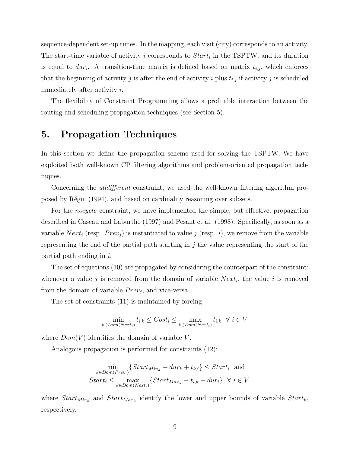sequence-dependent set-up times. In the mapping, each visit (city) corresponds to an activity. The start-time variable of activity i corresponds to  $Start_i$  in the TSPTW, and its duration is equal to  $dur_i$ . A transition-time matrix is defined based on matrix  $t_{i,j}$ , which enforces that the beginning of activity j is after the end of activity i plus  $t_{i,j}$  if activity j is scheduled immediately after activity i.

The flexibility of Constraint Programming allows a profitable interaction between the routing and scheduling propagation techniques (see Section 5).

# 5. Propagation Techniques

In this section we define the propagation scheme used for solving the TSPTW. We have exploited both well-known CP filtering algorithms and problem-oriented propagation techniques.

Concerning the *alldifferent* constraint, we used the well-known filtering algorithm proposed by Régin (1994), and based on cardinality reasoning over subsets.

For the *nocycle* constraint, we have implemented the simple, but effective, propagation described in Caseau and Laburthe (1997) and Pesant et al. (1998). Specifically, as soon as a variable Next<sub>i</sub> (resp.  $Prev_j$ ) is instantiated to value j (resp. i), we remove from the variable representing the end of the partial path starting in  $j$  the value representing the start of the partial path ending in  $i$ .

The set of equations (10) are propagated by considering the counterpart of the constraint: whenever a value j is removed from the domain of variable  $Next_i$ , the value i is removed from the domain of variable  $Prev_j$ , and vice-versa.

The set of constraints (11) is maintained by forcing

$$
\min_{k \in Dom(Next_i)} t_{i,k} \leq Cost_i \leq \max_{k \in Dom(Next_i)} t_{i,k} \ \ \forall \ i \in V
$$

where  $Dom(V)$  identifies the domain of variable V.

Analogous propagation is performed for constraints (12):

$$
\min_{k \in Dom(Prev_i)} \{Start_{Min_k} + dur_k + t_{k,i} \} \le Start_i \text{ and}
$$
\n
$$
Start_i \le \max_{k \in Dom(Next_i)} \{Start_{Max_k} - t_{i,k} - dur_i \} \quad \forall \ i \in V
$$

where  $Start_{Min_k}$  and  $Start_{Max_k}$  identify the lower and upper bounds of variable  $Start_k$ , respectively.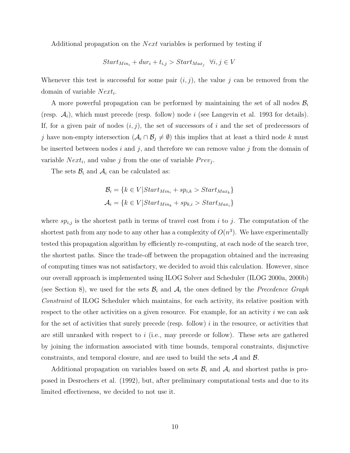Additional propagation on the *Next* variables is performed by testing if

$$
Start_{Min_i} + dur_i + t_{i,j} > Start_{Max_j} \ \ \forall i, j \in V
$$

Whenever this test is successful for some pair  $(i, j)$ , the value j can be removed from the domain of variable  $Next_i$ .

A more powerful propagation can be performed by maintaining the set of all nodes  $\mathcal{B}_i$ (resp.  $\mathcal{A}_i$ ), which must precede (resp. follow) node i (see Langevin et al. 1993 for details). If, for a given pair of nodes  $(i, j)$ , the set of successors of i and the set of predecessors of j have non-empty intersection  $(\mathcal{A}_i \cap \mathcal{B}_j \neq \emptyset)$  this implies that at least a third node k must be inserted between nodes i and j, and therefore we can remove value j from the domain of variable  $Next_i$ , and value j from the one of variable  $Prev_j$ .

The sets  $\mathcal{B}_i$  and  $\mathcal{A}_i$  can be calculated as:

$$
\mathcal{B}_{i} = \{k \in V | Start_{Min_{i}} + sp_{i,k} > Start_{Max_{k}}\}
$$

$$
\mathcal{A}_{i} = \{k \in V | Start_{Min_{k}} + sp_{k,i} > Start_{Max_{i}}\}
$$

where  $sp_{i,j}$  is the shortest path in terms of travel cost from i to j. The computation of the shortest path from any node to any other has a complexity of  $O(n^3)$ . We have experimentally tested this propagation algorithm by efficiently re-computing, at each node of the search tree, the shortest paths. Since the trade-off between the propagation obtained and the increasing of computing times was not satisfactory, we decided to avoid this calculation. However, since our overall approach is implemented using ILOG Solver and Scheduler (ILOG 2000a, 2000b) (see Section 8), we used for the sets  $\mathcal{B}_i$  and  $\mathcal{A}_i$  the ones defined by the *Precedence Graph* Constraint of ILOG Scheduler which maintains, for each activity, its relative position with respect to the other activities on a given resource. For example, for an activity  $i$  we can ask for the set of activities that surely precede (resp. follow)  $i$  in the resource, or activities that are still unranked with respect to  $i$  (i.e., may precede or follow). These sets are gathered by joining the information associated with time bounds, temporal constraints, disjunctive constraints, and temporal closure, and are used to build the sets  $A$  and  $B$ .

Additional propagation on variables based on sets  $B_i$  and  $A_i$  and shortest paths is proposed in Desrochers et al. (1992), but, after preliminary computational tests and due to its limited effectiveness, we decided to not use it.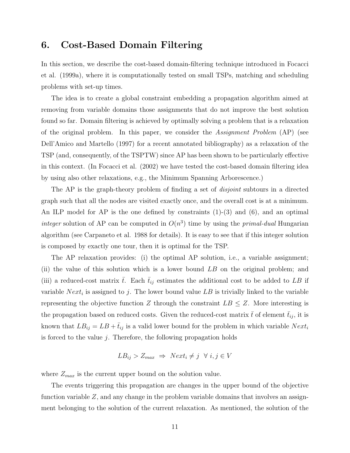# 6. Cost-Based Domain Filtering

In this section, we describe the cost-based domain-filtering technique introduced in Focacci et al. (1999a), where it is computationally tested on small TSPs, matching and scheduling problems with set-up times.

The idea is to create a global constraint embedding a propagation algorithm aimed at removing from variable domains those assignments that do not improve the best solution found so far. Domain filtering is achieved by optimally solving a problem that is a relaxation of the original problem. In this paper, we consider the Assignment Problem (AP) (see Dell'Amico and Martello (1997) for a recent annotated bibliography) as a relaxation of the TSP (and, consequently, of the TSPTW) since AP has been shown to be particularly effective in this context. (In Focacci et al. (2002) we have tested the cost-based domain filtering idea by using also other relaxations, e.g., the Minimum Spanning Arborescence.)

The AP is the graph-theory problem of finding a set of *disjoint* subtours in a directed graph such that all the nodes are visited exactly once, and the overall cost is at a minimum. An ILP model for AP is the one defined by constraints  $(1)-(3)$  and  $(6)$ , and an optimal integer solution of AP can be computed in  $O(n^3)$  time by using the *primal-dual* Hungarian algorithm (see Carpaneto et al. 1988 for details). It is easy to see that if this integer solution is composed by exactly one tour, then it is optimal for the TSP.

The AP relaxation provides: (i) the optimal AP solution, i.e., a variable assignment; (ii) the value of this solution which is a lower bound LB on the original problem; and (iii) a reduced-cost matrix  $\bar{t}$ . Each  $\bar{t}_{ij}$  estimates the additional cost to be added to LB if variable  $Next_i$  is assigned to j. The lower bound value LB is trivially linked to the variable representing the objective function Z through the constraint  $LB \leq Z$ . More interesting is the propagation based on reduced costs. Given the reduced-cost matrix  $\bar{t}$  of element  $\bar{t}_{ij}$ , it is known that  $LB_{ij} = LB + \bar{t}_{ij}$  is a valid lower bound for the problem in which variable  $Next_i$ is forced to the value  $j$ . Therefore, the following propagation holds

$$
LB_{ij} > Z_{max} \implies Next_i \neq j \quad \forall \ i, j \in V
$$

where  $Z_{max}$  is the current upper bound on the solution value.

The events triggering this propagation are changes in the upper bound of the objective function variable Z, and any change in the problem variable domains that involves an assignment belonging to the solution of the current relaxation. As mentioned, the solution of the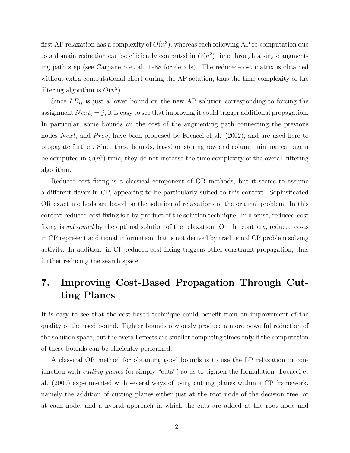first AP relaxation has a complexity of  $O(n^3)$ , whereas each following AP re-computation due to a domain reduction can be efficiently computed in  $O(n^2)$  time through a single augmenting path step (see Carpaneto et al. 1988 for details). The reduced-cost matrix is obtained without extra computational effort during the AP solution, thus the time complexity of the filtering algorithm is  $O(n^2)$ .

Since  $LB_{ij}$  is just a lower bound on the new AP solution corresponding to forcing the assignment  $Next_i = j$ , it is easy to see that improving it could trigger additional propagation. In particular, some bounds on the cost of the augmenting path connecting the previous nodes  $Next_i$  and  $Prev_j$  have been proposed by Focacci et al. (2002), and are used here to propagate further. Since these bounds, based on storing row and column minima, can again be computed in  $O(n^2)$  time, they do not increase the time complexity of the overall filtering algorithm.

Reduced-cost fixing is a classical component of OR methods, but it seems to assume a different flavor in CP, appearing to be particularly suited to this context. Sophisticated OR exact methods are based on the solution of relaxations of the original problem. In this context reduced-cost fixing is a by-product of the solution technique. In a sense, reduced-cost fixing is *subsumed* by the optimal solution of the relaxation. On the contrary, reduced costs in CP represent additional information that is not derived by traditional CP problem solving activity. In addition, in CP reduced-cost fixing triggers other constraint propagation, thus further reducing the search space.

# 7. Improving Cost-Based Propagation Through Cutting Planes

It is easy to see that the cost-based technique could benefit from an improvement of the quality of the used bound. Tighter bounds obviously produce a more powerful reduction of the solution space, but the overall effects are smaller computing times only if the computation of these bounds can be efficiently performed.

A classical OR method for obtaining good bounds is to use the LP relaxation in conjunction with cutting planes (or simply "cuts") so as to tighten the formulation. Focacci et al. (2000) experimented with several ways of using cutting planes within a CP framework, namely the addition of cutting planes either just at the root node of the decision tree, or at each node, and a hybrid approach in which the cuts are added at the root node and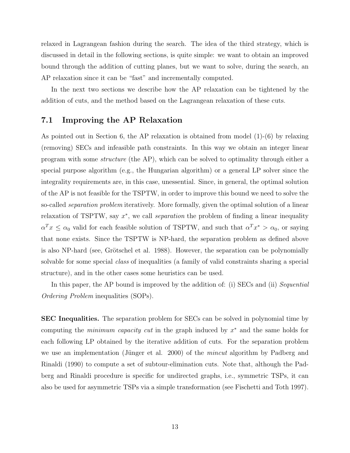relaxed in Lagrangean fashion during the search. The idea of the third strategy, which is discussed in detail in the following sections, is quite simple: we want to obtain an improved bound through the addition of cutting planes, but we want to solve, during the search, an AP relaxation since it can be "fast" and incrementally computed.

In the next two sections we describe how the AP relaxation can be tightened by the addition of cuts, and the method based on the Lagrangean relaxation of these cuts.

### 7.1 Improving the AP Relaxation

As pointed out in Section 6, the AP relaxation is obtained from model (1)-(6) by relaxing (removing) SECs and infeasible path constraints. In this way we obtain an integer linear program with some structure (the AP), which can be solved to optimality through either a special purpose algorithm (e.g., the Hungarian algorithm) or a general LP solver since the integrality requirements are, in this case, unessential. Since, in general, the optimal solution of the AP is not feasible for the TSPTW, in order to improve this bound we need to solve the so-called *separation problem* iteratively. More formally, given the optimal solution of a linear relaxation of TSPTW, say  $x^*$ , we call *separation* the problem of finding a linear inequality  $\alpha^T x \leq \alpha_0$  valid for each feasible solution of TSPTW, and such that  $\alpha^T x^* > \alpha_0$ , or saying that none exists. Since the TSPTW is NP-hard, the separation problem as defined above is also NP-hard (see, Grötschel et al. 1988). However, the separation can be polynomially solvable for some special class of inequalities (a family of valid constraints sharing a special structure), and in the other cases some heuristics can be used.

In this paper, the AP bound is improved by the addition of: (i) SECs and (ii) Sequential Ordering Problem inequalities (SOPs).

SEC Inequalities. The separation problem for SECs can be solved in polynomial time by computing the *minimum capacity cut* in the graph induced by  $x^*$  and the same holds for each following LP obtained by the iterative addition of cuts. For the separation problem we use an implementation (Jünger et al. 2000) of the *mincut* algorithm by Padberg and Rinaldi (1990) to compute a set of subtour-elimination cuts. Note that, although the Padberg and Rinaldi procedure is specific for undirected graphs, i.e., symmetric TSPs, it can also be used for asymmetric TSPs via a simple transformation (see Fischetti and Toth 1997).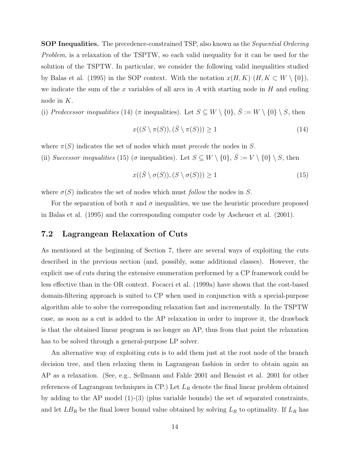SOP Inequalities. The precedence-constrained TSP, also known as the Sequential Ordering Problem, is a relaxation of the TSPTW, so each valid inequality for it can be used for the solution of the TSPTW. In particular, we consider the following valid inequalities studied by Balas et al. (1995) in the SOP context. With the notation  $x(H, K)$   $(H, K \subset W \setminus \{0\}),$ we indicate the sum of the x variables of all arcs in  $A$  with starting node in  $H$  and ending node in K.

(i) Predecessor inequalities (14) ( $\pi$  inequalities). Let  $S \subseteq W \setminus \{0\}$ ,  $\overline{S} := W \setminus \{0\} \setminus S$ , then

$$
x((S \setminus \pi(S)), (\bar{S} \setminus \pi(S))) \ge 1
$$
\n<sup>(14)</sup>

where  $\pi(S)$  indicates the set of nodes which must *precede* the nodes in S.

(ii) Successor inequalities (15) ( $\sigma$  inequalities). Let  $S \subseteq W \setminus \{0\}, \overline{S} := V \setminus \{0\} \setminus S$ , then

$$
x((\bar{S} \setminus \sigma(S)), (S \setminus \sigma(S))) \ge 1
$$
\n<sup>(15)</sup>

where  $\sigma(S)$  indicates the set of nodes which must follow the nodes in S.

For the separation of both  $\pi$  and  $\sigma$  inequalities, we use the heuristic procedure proposed in Balas et al. (1995) and the corresponding computer code by Ascheuer et al. (2001).

#### 7.2 Lagrangean Relaxation of Cuts

As mentioned at the beginning of Section 7, there are several ways of exploiting the cuts described in the previous section (and, possibly, some additional classes). However, the explicit use of cuts during the extensive enumeration performed by a CP framework could be less effective than in the OR context. Focacci et al. (1999a) have shown that the cost-based domain-filtering approach is suited to CP when used in conjunction with a special-purpose algorithm able to solve the corresponding relaxation fast and incrementally. In the TSPTW case, as soon as a cut is added to the AP relaxation in order to improve it, the drawback is that the obtained linear program is no longer an AP, thus from that point the relaxation has to be solved through a general-purpose LP solver.

An alternative way of exploiting cuts is to add them just at the root node of the branch decision tree, and then relaxing them in Lagrangean fashion in order to obtain again an AP as a relaxation. (See, e.g., Sellmann and Fahle 2001 and Benoist et al. 2001 for other references of Lagrangean techniques in CP.) Let  $L_R$  denote the final linear problem obtained by adding to the AP model (1)-(3) (plus variable bounds) the set of separated constraints, and let  $LB<sub>R</sub>$  be the final lower bound value obtained by solving  $L<sub>R</sub>$  to optimality. If  $L<sub>R</sub>$  has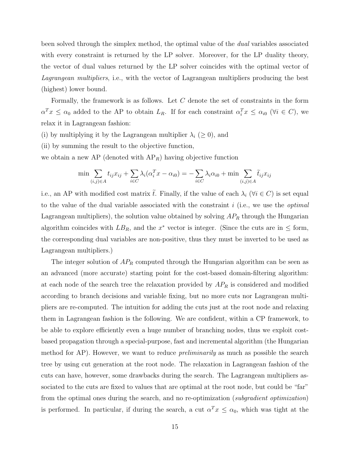been solved through the simplex method, the optimal value of the dual variables associated with every constraint is returned by the LP solver. Moreover, for the LP duality theory, the vector of dual values returned by the LP solver coincides with the optimal vector of Lagrangean multipliers, i.e., with the vector of Lagrangean multipliers producing the best (highest) lower bound.

Formally, the framework is as follows. Let  $C$  denote the set of constraints in the form  $\alpha^T x \leq \alpha_0$  added to the AP to obtain  $L_R$ . If for each constraint  $\alpha_i^T x \leq \alpha_{i0}$  ( $\forall i \in C$ ), we relax it in Lagrangean fashion:

- (i) by multiplying it by the Lagrangean multiplier  $\lambda_i \geq 0$ , and
- (ii) by summing the result to the objective function,

we obtain a new AP (denoted with  $AP_R$ ) having objective function

$$
\min \sum_{(i,j)\in A} t_{ij} x_{ij} + \sum_{i\in C} \lambda_i (\alpha_i^T x - \alpha_{i0}) = -\sum_{i\in C} \lambda_i \alpha_{i0} + \min \sum_{(i,j)\in A} \tilde{t}_{ij} x_{ij}
$$

i.e., an AP with modified cost matrix  $\tilde{t}$ . Finally, if the value of each  $\lambda_i$  ( $\forall i \in C$ ) is set equal to the value of the dual variable associated with the constraint  $i$  (i.e., we use the *optimal* Lagrangean multipliers), the solution value obtained by solving  $AP_R$  through the Hungarian algorithm coincides with  $LB_R$ , and the  $x^*$  vector is integer. (Since the cuts are in  $\leq$  form, the corresponding dual variables are non-positive, thus they must be inverted to be used as Lagrangean multipliers.)

The integer solution of  $AP_R$  computed through the Hungarian algorithm can be seen as an advanced (more accurate) starting point for the cost-based domain-filtering algorithm: at each node of the search tree the relaxation provided by  $AP_R$  is considered and modified according to branch decisions and variable fixing, but no more cuts nor Lagrangean multipliers are re-computed. The intuition for adding the cuts just at the root node and relaxing them in Lagrangean fashion is the following. We are confident, within a CP framework, to be able to explore efficiently even a huge number of branching nodes, thus we exploit costbased propagation through a special-purpose, fast and incremental algorithm (the Hungarian method for AP). However, we want to reduce *preliminarily* as much as possible the search tree by using cut generation at the root node. The relaxation in Lagrangean fashion of the cuts can have, however, some drawbacks during the search. The Lagrangean multipliers associated to the cuts are fixed to values that are optimal at the root node, but could be "far" from the optimal ones during the search, and no re-optimization (subgradient optimization) is performed. In particular, if during the search, a cut  $\alpha^T x \leq \alpha_0$ , which was tight at the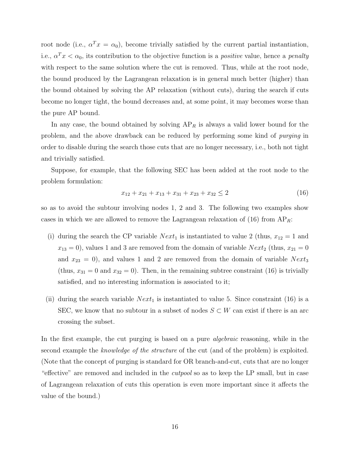root node (i.e.,  $\alpha^T x = \alpha_0$ ), become trivially satisfied by the current partial instantiation, i.e.,  $\alpha^T x < \alpha_0$ , its contribution to the objective function is a *positive* value, hence a *penalty* with respect to the same solution where the cut is removed. Thus, while at the root node, the bound produced by the Lagrangean relaxation is in general much better (higher) than the bound obtained by solving the AP relaxation (without cuts), during the search if cuts become no longer tight, the bound decreases and, at some point, it may becomes worse than the pure AP bound.

In any case, the bound obtained by solving  $AP_R$  is always a valid lower bound for the problem, and the above drawback can be reduced by performing some kind of purging in order to disable during the search those cuts that are no longer necessary, i.e., both not tight and trivially satisfied.

Suppose, for example, that the following SEC has been added at the root node to the problem formulation:

$$
x_{12} + x_{21} + x_{13} + x_{31} + x_{23} + x_{32} \le 2 \tag{16}
$$

so as to avoid the subtour involving nodes 1, 2 and 3. The following two examples show cases in which we are allowed to remove the Lagrangean relaxation of (16) from  $AP_R$ :

- (i) during the search the CP variable  $Next_1$  is instantiated to value 2 (thus,  $x_{12} = 1$  and  $x_{13} = 0$ ), values 1 and 3 are removed from the domain of variable  $Next_2$  (thus,  $x_{21} = 0$ and  $x_{23} = 0$ , and values 1 and 2 are removed from the domain of variable  $Next_3$ (thus,  $x_{31} = 0$  and  $x_{32} = 0$ ). Then, in the remaining subtree constraint (16) is trivially satisfied, and no interesting information is associated to it;
- (ii) during the search variable  $Next_1$  is instantiated to value 5. Since constraint (16) is a SEC, we know that no subtour in a subset of nodes  $S \subset W$  can exist if there is an arc crossing the subset.

In the first example, the cut purging is based on a pure *algebraic* reasoning, while in the second example the knowledge of the structure of the cut (and of the problem) is exploited. (Note that the concept of purging is standard for OR branch-and-cut, cuts that are no longer "effective" are removed and included in the cutpool so as to keep the LP small, but in case of Lagrangean relaxation of cuts this operation is even more important since it affects the value of the bound.)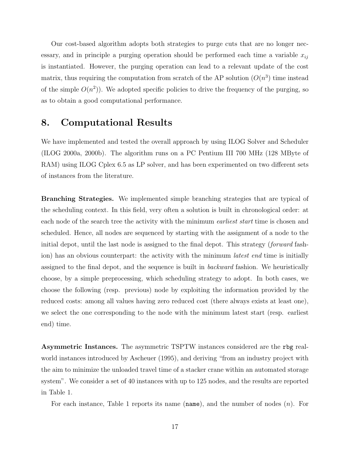Our cost-based algorithm adopts both strategies to purge cuts that are no longer necessary, and in principle a purging operation should be performed each time a variable  $x_{ij}$ is instantiated. However, the purging operation can lead to a relevant update of the cost matrix, thus requiring the computation from scratch of the AP solution  $(O(n^3))$  time instead of the simple  $O(n^2)$ ). We adopted specific policies to drive the frequency of the purging, so as to obtain a good computational performance.

### 8. Computational Results

We have implemented and tested the overall approach by using ILOG Solver and Scheduler (ILOG 2000a, 2000b). The algorithm runs on a PC Pentium III 700 MHz (128 MByte of RAM) using ILOG Cplex 6.5 as LP solver, and has been experimented on two different sets of instances from the literature.

Branching Strategies. We implemented simple branching strategies that are typical of the scheduling context. In this field, very often a solution is built in chronological order: at each node of the search tree the activity with the minimum *earliest start* time is chosen and scheduled. Hence, all nodes are sequenced by starting with the assignment of a node to the initial depot, until the last node is assigned to the final depot. This strategy (forward fashion) has an obvious counterpart: the activity with the minimum *latest end* time is initially assigned to the final depot, and the sequence is built in backward fashion. We heuristically choose, by a simple preprocessing, which scheduling strategy to adopt. In both cases, we choose the following (resp. previous) node by exploiting the information provided by the reduced costs: among all values having zero reduced cost (there always exists at least one), we select the one corresponding to the node with the minimum latest start (resp. earliest end) time.

Asymmetric Instances. The asymmetric TSPTW instances considered are the rbg realworld instances introduced by Ascheuer (1995), and deriving "from an industry project with the aim to minimize the unloaded travel time of a stacker crane within an automated storage system". We consider a set of 40 instances with up to 125 nodes, and the results are reported in Table 1.

For each instance, Table 1 reports its name  $(name)$ , and the number of nodes  $(n)$ . For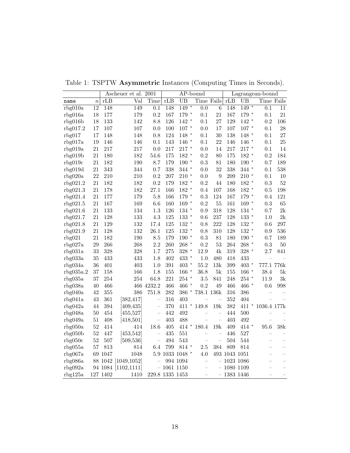| $\overline{\text{Val}}$<br>rLB<br>$\overline{UB}$<br>Time Fails<br>rLB<br>rLB<br>Time<br>UB<br>Time Fails<br>$\boldsymbol{n}$<br>name<br>$149*$<br>$149*$<br>$\overline{12}$<br>148<br>149<br>$\overline{0.0}$<br>148<br>$\overline{0.1}$<br>148<br>$\overline{6}$<br>$\overline{0.1}$<br>$\overline{11}$<br>rbg010a<br>21<br>18<br>177<br>179<br>0.2<br>167<br>179 *<br>0.1<br>167<br>179 *<br>0.1<br>$21\,$<br>rbg016a<br>18<br>133<br>142<br>126<br>$142 *$<br>0.1<br>27<br>129<br>$142 *$<br>$\rm 0.2$<br>106<br>8.8<br>rbg016b<br>$107$ $^{\ast}$<br>28<br>17<br>107<br>107<br>0.0<br>100<br>0.0<br>17<br>107<br>$107 *$<br>0.1<br>rbg017.2<br>124<br>$148$ $^{\ast}$<br>30<br>27<br>17<br>148<br>148<br>0.8<br>0.1<br>138<br>148 *<br>rbg017<br>0.1<br>22<br>25<br>19<br>0.1<br>143<br>$146$ $^{\ast}$<br>0.1<br>rbg017a<br>146<br>146<br>146<br>146<br>$*$<br>0.1<br>$217$ $^{\ast}$<br>21<br>217<br>217<br>217<br>14<br>217<br>$\ast$<br>14<br>0.0<br>0.0<br>$217\,$<br>rbg019a<br>0.1<br>21<br>180<br>182<br>54.6<br>175<br>182<br>$\ast$<br>$\rm 0.2$<br>80<br>175<br>182<br>$\rm 0.2$<br>184<br>$\ast$<br>rbg019b<br>21<br>182<br>190<br>8.7<br>179<br>$\ast$<br>$\rm 0.3$<br>81<br>$190$ $^{\ast}$<br>189<br>190<br>180<br>0.7<br>rbg019c<br>343<br>338<br>$344$ *<br>32<br>338<br>538<br>21<br>344<br>0.7<br>0.0<br>$344$ *<br>0.1<br>rbg019d<br>22<br>$210$ $^{\ast}$<br>$\overline{9}$<br>210<br>210<br>0.2<br>207<br>0.0<br>209<br>$210$ $^{\ast}$<br>10<br>rbg020a<br>0.1<br>52<br>21<br>182<br>182<br>0.2<br>179<br>$182$ $^{\ast}$<br>$\rm 0.2$<br>44<br>180<br>$182\,$ $^*$<br>$\rm 0.3$<br>rbg021.2<br>21<br>178<br>182<br>27.1<br>$182$ $^{\ast}$<br>107<br>168<br>$182 *$<br>198<br>rbg021.3<br>166<br>0.4<br>0.5<br>21<br>$\rm 0.3$<br>124<br>$179 *$<br>121<br>177<br>179<br>5.8<br>166<br>179 *<br>167<br>rbg021.4<br>$0.4\,$<br>167<br>160<br>$169$ $^{\ast}$<br>0.2<br>55<br>65<br>21<br>169<br>6.6<br>161<br>$169 *$<br>0.3<br>rbg021.5<br>133<br>134<br>1.3<br>126<br>$134$ *<br>318<br>2k<br>21<br>0.9<br>128<br>134 *<br>0.7<br>rbg021.6<br>128<br>133<br>125<br>$133$ $^{\ast}$<br>237<br>2k<br>21<br>4.3<br>0.6<br>128<br>$133$ $^{\ast}$<br>rbg021.7<br>1.0<br>21<br>129<br>132<br>17.4<br>125<br>$132$ $^{\ast}$<br>0.8<br>222<br>128<br>$132$ $^{\ast}$<br>297<br>rbg021.8<br>0.6<br>128<br>132<br>125<br>$132$ $^{\ast}$<br>128<br>$132 *$<br>536<br>21<br>26.1<br>0.8<br>310<br>rbg021.9<br>0.9<br>182<br>0.3<br>21<br>190<br>8.5<br>179<br>$190*$<br>81<br>180<br>$190*$<br>0.7<br>189<br>rbg021<br>266<br>268<br>2.2<br>$268$ $^{\ast}$<br>53<br>0.3<br>50<br>29<br>260<br>0.2<br>264<br>268<br>$\ast$<br>rbg027a<br>4k<br>841<br>33<br>328<br>328<br>1.7<br>275<br>328 *<br>12.9<br>319<br>$328 *$<br>2.7<br>rbg031a<br>433<br>433<br>402<br>433 *<br>480<br>433<br>35<br>1.8<br>$1.0\,$<br>418<br>rbg033a<br>401<br>403<br>$403$ $^{\ast}$<br>55.2<br>13k<br>399<br>$403$ $^{\ast}$<br>777.1 776k<br>rbg034a<br>36<br>1.0<br>391<br>$166\,$ $^*$<br>166<br>$5\mathrm{k}$<br>$166\,$ $^*$<br>38.4<br>5k<br>37<br>158<br>1.8<br>155<br>36.8<br>155<br>rbg035a.2<br>254<br>221<br>$254$ $^{\ast}$<br>3k<br>37<br>254<br>64.8<br>3.5<br>841<br>248<br>$254$ *<br>11.9<br>rbg035a<br>466 *<br>0.2<br>40<br>466<br>466 4232.2<br>466<br>49<br>466<br>466 *<br>0.6<br>998<br>rbg038a<br>386<br>738.1 136k<br>42<br>355<br>751.8<br>282<br>386<br>$\ast$<br>316<br>386<br>rbg040a<br>$\overline{\phantom{0}}$<br>43<br>361<br>352<br>[382, 417]<br>316<br>403<br>404<br>rbg041a<br>$\overline{\phantom{0}}$<br>$\equiv$<br>$\equiv$<br>44<br>394<br>370<br>411 * 149.8<br>19k<br>382<br>$411 *$<br>1036.4 177k<br>rbg042a<br>[409, 435]<br>442<br>50<br>454<br>492<br>444<br>500<br>rbg048a<br>[455, 527]<br>$\overline{\phantom{0}}$<br>$\overline{\phantom{0}}$<br>403<br>488<br>403<br>51<br>408<br>492<br>rbg049a<br>[418, 501]<br>$\overline{\phantom{0}}$<br>$\overline{a}$<br>$\overline{\phantom{0}}$<br>95.6<br>19k<br>38k<br>52<br>414<br>18.6<br>405<br>$*$<br>180.4<br>409<br>414 *<br>rbg050a<br>414<br>414<br>52<br>435<br>551<br>446<br>527<br>rbg050b<br>447<br>[453, 542]<br>$\overline{\phantom{0}}$<br>$\overline{\phantom{0}}$<br>$\overline{\phantom{0}}$<br>$\overline{\phantom{0}}$<br>52<br>543<br>507<br>[509, 536]<br>494<br>504<br>544<br>rbg050c<br>$\qquad \qquad -$<br>$\overline{\phantom{0}}$<br>$\overline{\phantom{0}}$<br>$\overline{\phantom{0}}$<br>799<br>$814$ *<br>384<br>809<br>57<br>813<br>814<br>$6.4\,$<br>$2.5\,$<br>814<br>rbg055a<br>$\overline{\phantom{0}}$<br>5.9 1033 1048 *<br>4.0<br>493 1043 1051<br>rbg067a<br>69 1047<br>1048<br>$\overline{\phantom{0}}$<br>1023 1086<br>rbg086a<br>88 1042 [1049,1052]<br>994 1094<br>$\overline{\phantom{0}}$<br>$\overline{\phantom{0}}$<br>$\frac{1}{2}$<br>$\overline{\phantom{0}}$<br>94 1084 [1102,1111]<br>$-1061$ 1150<br>1080 1109<br>rbg092a<br>$\overline{\phantom{0}}$<br>$\overline{\phantom{0}}$<br>$-1383$ 1446<br>127 1402<br>229.8 1335 1453<br>$\overline{\phantom{0}}$<br>$\overline{\phantom{0}}$ |         |  | Ascheuer et al. 2001 |  |  | AP-bound |  |  | Lagrangean-bound |  |
|-----------------------------------------------------------------------------------------------------------------------------------------------------------------------------------------------------------------------------------------------------------------------------------------------------------------------------------------------------------------------------------------------------------------------------------------------------------------------------------------------------------------------------------------------------------------------------------------------------------------------------------------------------------------------------------------------------------------------------------------------------------------------------------------------------------------------------------------------------------------------------------------------------------------------------------------------------------------------------------------------------------------------------------------------------------------------------------------------------------------------------------------------------------------------------------------------------------------------------------------------------------------------------------------------------------------------------------------------------------------------------------------------------------------------------------------------------------------------------------------------------------------------------------------------------------------------------------------------------------------------------------------------------------------------------------------------------------------------------------------------------------------------------------------------------------------------------------------------------------------------------------------------------------------------------------------------------------------------------------------------------------------------------------------------------------------------------------------------------------------------------------------------------------------------------------------------------------------------------------------------------------------------------------------------------------------------------------------------------------------------------------------------------------------------------------------------------------------------------------------------------------------------------------------------------------------------------------------------------------------------------------------------------------------------------------------------------------------------------------------------------------------------------------------------------------------------------------------------------------------------------------------------------------------------------------------------------------------------------------------------------------------------------------------------------------------------------------------------------------------------------------------------------------------------------------------------------------------------------------------------------------------------------------------------------------------------------------------------------------------------------------------------------------------------------------------------------------------------------------------------------------------------------------------------------------------------------------------------------------------------------------------------------------------------------------------------------------------------------------------------------------------------------------------------------------------------------------------------------------------------------------------------------------------------------------------------------------------------------------------------------------------------------------------------------------------------------------------------------------------------------------------------------------------------------------------------------------------------------------------------------------------------------------------------------------------------------------------------------------------------------------------------------------------------------------------------------------------------------------------------------------------------------------------------------------------------------------------------------------------------------------------------------------------------------------------------------------------------------------------------------------------------------------------------------------------------------------------------------------------------------------------------------------------------------------------------------------------------------------------------------------------------------------------------------|---------|--|----------------------|--|--|----------|--|--|------------------|--|
|                                                                                                                                                                                                                                                                                                                                                                                                                                                                                                                                                                                                                                                                                                                                                                                                                                                                                                                                                                                                                                                                                                                                                                                                                                                                                                                                                                                                                                                                                                                                                                                                                                                                                                                                                                                                                                                                                                                                                                                                                                                                                                                                                                                                                                                                                                                                                                                                                                                                                                                                                                                                                                                                                                                                                                                                                                                                                                                                                                                                                                                                                                                                                                                                                                                                                                                                                                                                                                                                                                                                                                                                                                                                                                                                                                                                                                                                                                                                                                                                                                                                                                                                                                                                                                                                                                                                                                                                                                                                                                                                                                                                                                                                                                                                                                                                                                                                                                                                                                                                                                                     |         |  |                      |  |  |          |  |  |                  |  |
|                                                                                                                                                                                                                                                                                                                                                                                                                                                                                                                                                                                                                                                                                                                                                                                                                                                                                                                                                                                                                                                                                                                                                                                                                                                                                                                                                                                                                                                                                                                                                                                                                                                                                                                                                                                                                                                                                                                                                                                                                                                                                                                                                                                                                                                                                                                                                                                                                                                                                                                                                                                                                                                                                                                                                                                                                                                                                                                                                                                                                                                                                                                                                                                                                                                                                                                                                                                                                                                                                                                                                                                                                                                                                                                                                                                                                                                                                                                                                                                                                                                                                                                                                                                                                                                                                                                                                                                                                                                                                                                                                                                                                                                                                                                                                                                                                                                                                                                                                                                                                                                     |         |  |                      |  |  |          |  |  |                  |  |
|                                                                                                                                                                                                                                                                                                                                                                                                                                                                                                                                                                                                                                                                                                                                                                                                                                                                                                                                                                                                                                                                                                                                                                                                                                                                                                                                                                                                                                                                                                                                                                                                                                                                                                                                                                                                                                                                                                                                                                                                                                                                                                                                                                                                                                                                                                                                                                                                                                                                                                                                                                                                                                                                                                                                                                                                                                                                                                                                                                                                                                                                                                                                                                                                                                                                                                                                                                                                                                                                                                                                                                                                                                                                                                                                                                                                                                                                                                                                                                                                                                                                                                                                                                                                                                                                                                                                                                                                                                                                                                                                                                                                                                                                                                                                                                                                                                                                                                                                                                                                                                                     |         |  |                      |  |  |          |  |  |                  |  |
|                                                                                                                                                                                                                                                                                                                                                                                                                                                                                                                                                                                                                                                                                                                                                                                                                                                                                                                                                                                                                                                                                                                                                                                                                                                                                                                                                                                                                                                                                                                                                                                                                                                                                                                                                                                                                                                                                                                                                                                                                                                                                                                                                                                                                                                                                                                                                                                                                                                                                                                                                                                                                                                                                                                                                                                                                                                                                                                                                                                                                                                                                                                                                                                                                                                                                                                                                                                                                                                                                                                                                                                                                                                                                                                                                                                                                                                                                                                                                                                                                                                                                                                                                                                                                                                                                                                                                                                                                                                                                                                                                                                                                                                                                                                                                                                                                                                                                                                                                                                                                                                     |         |  |                      |  |  |          |  |  |                  |  |
|                                                                                                                                                                                                                                                                                                                                                                                                                                                                                                                                                                                                                                                                                                                                                                                                                                                                                                                                                                                                                                                                                                                                                                                                                                                                                                                                                                                                                                                                                                                                                                                                                                                                                                                                                                                                                                                                                                                                                                                                                                                                                                                                                                                                                                                                                                                                                                                                                                                                                                                                                                                                                                                                                                                                                                                                                                                                                                                                                                                                                                                                                                                                                                                                                                                                                                                                                                                                                                                                                                                                                                                                                                                                                                                                                                                                                                                                                                                                                                                                                                                                                                                                                                                                                                                                                                                                                                                                                                                                                                                                                                                                                                                                                                                                                                                                                                                                                                                                                                                                                                                     |         |  |                      |  |  |          |  |  |                  |  |
|                                                                                                                                                                                                                                                                                                                                                                                                                                                                                                                                                                                                                                                                                                                                                                                                                                                                                                                                                                                                                                                                                                                                                                                                                                                                                                                                                                                                                                                                                                                                                                                                                                                                                                                                                                                                                                                                                                                                                                                                                                                                                                                                                                                                                                                                                                                                                                                                                                                                                                                                                                                                                                                                                                                                                                                                                                                                                                                                                                                                                                                                                                                                                                                                                                                                                                                                                                                                                                                                                                                                                                                                                                                                                                                                                                                                                                                                                                                                                                                                                                                                                                                                                                                                                                                                                                                                                                                                                                                                                                                                                                                                                                                                                                                                                                                                                                                                                                                                                                                                                                                     |         |  |                      |  |  |          |  |  |                  |  |
|                                                                                                                                                                                                                                                                                                                                                                                                                                                                                                                                                                                                                                                                                                                                                                                                                                                                                                                                                                                                                                                                                                                                                                                                                                                                                                                                                                                                                                                                                                                                                                                                                                                                                                                                                                                                                                                                                                                                                                                                                                                                                                                                                                                                                                                                                                                                                                                                                                                                                                                                                                                                                                                                                                                                                                                                                                                                                                                                                                                                                                                                                                                                                                                                                                                                                                                                                                                                                                                                                                                                                                                                                                                                                                                                                                                                                                                                                                                                                                                                                                                                                                                                                                                                                                                                                                                                                                                                                                                                                                                                                                                                                                                                                                                                                                                                                                                                                                                                                                                                                                                     |         |  |                      |  |  |          |  |  |                  |  |
|                                                                                                                                                                                                                                                                                                                                                                                                                                                                                                                                                                                                                                                                                                                                                                                                                                                                                                                                                                                                                                                                                                                                                                                                                                                                                                                                                                                                                                                                                                                                                                                                                                                                                                                                                                                                                                                                                                                                                                                                                                                                                                                                                                                                                                                                                                                                                                                                                                                                                                                                                                                                                                                                                                                                                                                                                                                                                                                                                                                                                                                                                                                                                                                                                                                                                                                                                                                                                                                                                                                                                                                                                                                                                                                                                                                                                                                                                                                                                                                                                                                                                                                                                                                                                                                                                                                                                                                                                                                                                                                                                                                                                                                                                                                                                                                                                                                                                                                                                                                                                                                     |         |  |                      |  |  |          |  |  |                  |  |
|                                                                                                                                                                                                                                                                                                                                                                                                                                                                                                                                                                                                                                                                                                                                                                                                                                                                                                                                                                                                                                                                                                                                                                                                                                                                                                                                                                                                                                                                                                                                                                                                                                                                                                                                                                                                                                                                                                                                                                                                                                                                                                                                                                                                                                                                                                                                                                                                                                                                                                                                                                                                                                                                                                                                                                                                                                                                                                                                                                                                                                                                                                                                                                                                                                                                                                                                                                                                                                                                                                                                                                                                                                                                                                                                                                                                                                                                                                                                                                                                                                                                                                                                                                                                                                                                                                                                                                                                                                                                                                                                                                                                                                                                                                                                                                                                                                                                                                                                                                                                                                                     |         |  |                      |  |  |          |  |  |                  |  |
|                                                                                                                                                                                                                                                                                                                                                                                                                                                                                                                                                                                                                                                                                                                                                                                                                                                                                                                                                                                                                                                                                                                                                                                                                                                                                                                                                                                                                                                                                                                                                                                                                                                                                                                                                                                                                                                                                                                                                                                                                                                                                                                                                                                                                                                                                                                                                                                                                                                                                                                                                                                                                                                                                                                                                                                                                                                                                                                                                                                                                                                                                                                                                                                                                                                                                                                                                                                                                                                                                                                                                                                                                                                                                                                                                                                                                                                                                                                                                                                                                                                                                                                                                                                                                                                                                                                                                                                                                                                                                                                                                                                                                                                                                                                                                                                                                                                                                                                                                                                                                                                     |         |  |                      |  |  |          |  |  |                  |  |
|                                                                                                                                                                                                                                                                                                                                                                                                                                                                                                                                                                                                                                                                                                                                                                                                                                                                                                                                                                                                                                                                                                                                                                                                                                                                                                                                                                                                                                                                                                                                                                                                                                                                                                                                                                                                                                                                                                                                                                                                                                                                                                                                                                                                                                                                                                                                                                                                                                                                                                                                                                                                                                                                                                                                                                                                                                                                                                                                                                                                                                                                                                                                                                                                                                                                                                                                                                                                                                                                                                                                                                                                                                                                                                                                                                                                                                                                                                                                                                                                                                                                                                                                                                                                                                                                                                                                                                                                                                                                                                                                                                                                                                                                                                                                                                                                                                                                                                                                                                                                                                                     |         |  |                      |  |  |          |  |  |                  |  |
|                                                                                                                                                                                                                                                                                                                                                                                                                                                                                                                                                                                                                                                                                                                                                                                                                                                                                                                                                                                                                                                                                                                                                                                                                                                                                                                                                                                                                                                                                                                                                                                                                                                                                                                                                                                                                                                                                                                                                                                                                                                                                                                                                                                                                                                                                                                                                                                                                                                                                                                                                                                                                                                                                                                                                                                                                                                                                                                                                                                                                                                                                                                                                                                                                                                                                                                                                                                                                                                                                                                                                                                                                                                                                                                                                                                                                                                                                                                                                                                                                                                                                                                                                                                                                                                                                                                                                                                                                                                                                                                                                                                                                                                                                                                                                                                                                                                                                                                                                                                                                                                     |         |  |                      |  |  |          |  |  |                  |  |
|                                                                                                                                                                                                                                                                                                                                                                                                                                                                                                                                                                                                                                                                                                                                                                                                                                                                                                                                                                                                                                                                                                                                                                                                                                                                                                                                                                                                                                                                                                                                                                                                                                                                                                                                                                                                                                                                                                                                                                                                                                                                                                                                                                                                                                                                                                                                                                                                                                                                                                                                                                                                                                                                                                                                                                                                                                                                                                                                                                                                                                                                                                                                                                                                                                                                                                                                                                                                                                                                                                                                                                                                                                                                                                                                                                                                                                                                                                                                                                                                                                                                                                                                                                                                                                                                                                                                                                                                                                                                                                                                                                                                                                                                                                                                                                                                                                                                                                                                                                                                                                                     |         |  |                      |  |  |          |  |  |                  |  |
|                                                                                                                                                                                                                                                                                                                                                                                                                                                                                                                                                                                                                                                                                                                                                                                                                                                                                                                                                                                                                                                                                                                                                                                                                                                                                                                                                                                                                                                                                                                                                                                                                                                                                                                                                                                                                                                                                                                                                                                                                                                                                                                                                                                                                                                                                                                                                                                                                                                                                                                                                                                                                                                                                                                                                                                                                                                                                                                                                                                                                                                                                                                                                                                                                                                                                                                                                                                                                                                                                                                                                                                                                                                                                                                                                                                                                                                                                                                                                                                                                                                                                                                                                                                                                                                                                                                                                                                                                                                                                                                                                                                                                                                                                                                                                                                                                                                                                                                                                                                                                                                     |         |  |                      |  |  |          |  |  |                  |  |
|                                                                                                                                                                                                                                                                                                                                                                                                                                                                                                                                                                                                                                                                                                                                                                                                                                                                                                                                                                                                                                                                                                                                                                                                                                                                                                                                                                                                                                                                                                                                                                                                                                                                                                                                                                                                                                                                                                                                                                                                                                                                                                                                                                                                                                                                                                                                                                                                                                                                                                                                                                                                                                                                                                                                                                                                                                                                                                                                                                                                                                                                                                                                                                                                                                                                                                                                                                                                                                                                                                                                                                                                                                                                                                                                                                                                                                                                                                                                                                                                                                                                                                                                                                                                                                                                                                                                                                                                                                                                                                                                                                                                                                                                                                                                                                                                                                                                                                                                                                                                                                                     |         |  |                      |  |  |          |  |  |                  |  |
|                                                                                                                                                                                                                                                                                                                                                                                                                                                                                                                                                                                                                                                                                                                                                                                                                                                                                                                                                                                                                                                                                                                                                                                                                                                                                                                                                                                                                                                                                                                                                                                                                                                                                                                                                                                                                                                                                                                                                                                                                                                                                                                                                                                                                                                                                                                                                                                                                                                                                                                                                                                                                                                                                                                                                                                                                                                                                                                                                                                                                                                                                                                                                                                                                                                                                                                                                                                                                                                                                                                                                                                                                                                                                                                                                                                                                                                                                                                                                                                                                                                                                                                                                                                                                                                                                                                                                                                                                                                                                                                                                                                                                                                                                                                                                                                                                                                                                                                                                                                                                                                     |         |  |                      |  |  |          |  |  |                  |  |
|                                                                                                                                                                                                                                                                                                                                                                                                                                                                                                                                                                                                                                                                                                                                                                                                                                                                                                                                                                                                                                                                                                                                                                                                                                                                                                                                                                                                                                                                                                                                                                                                                                                                                                                                                                                                                                                                                                                                                                                                                                                                                                                                                                                                                                                                                                                                                                                                                                                                                                                                                                                                                                                                                                                                                                                                                                                                                                                                                                                                                                                                                                                                                                                                                                                                                                                                                                                                                                                                                                                                                                                                                                                                                                                                                                                                                                                                                                                                                                                                                                                                                                                                                                                                                                                                                                                                                                                                                                                                                                                                                                                                                                                                                                                                                                                                                                                                                                                                                                                                                                                     |         |  |                      |  |  |          |  |  |                  |  |
|                                                                                                                                                                                                                                                                                                                                                                                                                                                                                                                                                                                                                                                                                                                                                                                                                                                                                                                                                                                                                                                                                                                                                                                                                                                                                                                                                                                                                                                                                                                                                                                                                                                                                                                                                                                                                                                                                                                                                                                                                                                                                                                                                                                                                                                                                                                                                                                                                                                                                                                                                                                                                                                                                                                                                                                                                                                                                                                                                                                                                                                                                                                                                                                                                                                                                                                                                                                                                                                                                                                                                                                                                                                                                                                                                                                                                                                                                                                                                                                                                                                                                                                                                                                                                                                                                                                                                                                                                                                                                                                                                                                                                                                                                                                                                                                                                                                                                                                                                                                                                                                     |         |  |                      |  |  |          |  |  |                  |  |
|                                                                                                                                                                                                                                                                                                                                                                                                                                                                                                                                                                                                                                                                                                                                                                                                                                                                                                                                                                                                                                                                                                                                                                                                                                                                                                                                                                                                                                                                                                                                                                                                                                                                                                                                                                                                                                                                                                                                                                                                                                                                                                                                                                                                                                                                                                                                                                                                                                                                                                                                                                                                                                                                                                                                                                                                                                                                                                                                                                                                                                                                                                                                                                                                                                                                                                                                                                                                                                                                                                                                                                                                                                                                                                                                                                                                                                                                                                                                                                                                                                                                                                                                                                                                                                                                                                                                                                                                                                                                                                                                                                                                                                                                                                                                                                                                                                                                                                                                                                                                                                                     |         |  |                      |  |  |          |  |  |                  |  |
|                                                                                                                                                                                                                                                                                                                                                                                                                                                                                                                                                                                                                                                                                                                                                                                                                                                                                                                                                                                                                                                                                                                                                                                                                                                                                                                                                                                                                                                                                                                                                                                                                                                                                                                                                                                                                                                                                                                                                                                                                                                                                                                                                                                                                                                                                                                                                                                                                                                                                                                                                                                                                                                                                                                                                                                                                                                                                                                                                                                                                                                                                                                                                                                                                                                                                                                                                                                                                                                                                                                                                                                                                                                                                                                                                                                                                                                                                                                                                                                                                                                                                                                                                                                                                                                                                                                                                                                                                                                                                                                                                                                                                                                                                                                                                                                                                                                                                                                                                                                                                                                     |         |  |                      |  |  |          |  |  |                  |  |
|                                                                                                                                                                                                                                                                                                                                                                                                                                                                                                                                                                                                                                                                                                                                                                                                                                                                                                                                                                                                                                                                                                                                                                                                                                                                                                                                                                                                                                                                                                                                                                                                                                                                                                                                                                                                                                                                                                                                                                                                                                                                                                                                                                                                                                                                                                                                                                                                                                                                                                                                                                                                                                                                                                                                                                                                                                                                                                                                                                                                                                                                                                                                                                                                                                                                                                                                                                                                                                                                                                                                                                                                                                                                                                                                                                                                                                                                                                                                                                                                                                                                                                                                                                                                                                                                                                                                                                                                                                                                                                                                                                                                                                                                                                                                                                                                                                                                                                                                                                                                                                                     |         |  |                      |  |  |          |  |  |                  |  |
|                                                                                                                                                                                                                                                                                                                                                                                                                                                                                                                                                                                                                                                                                                                                                                                                                                                                                                                                                                                                                                                                                                                                                                                                                                                                                                                                                                                                                                                                                                                                                                                                                                                                                                                                                                                                                                                                                                                                                                                                                                                                                                                                                                                                                                                                                                                                                                                                                                                                                                                                                                                                                                                                                                                                                                                                                                                                                                                                                                                                                                                                                                                                                                                                                                                                                                                                                                                                                                                                                                                                                                                                                                                                                                                                                                                                                                                                                                                                                                                                                                                                                                                                                                                                                                                                                                                                                                                                                                                                                                                                                                                                                                                                                                                                                                                                                                                                                                                                                                                                                                                     |         |  |                      |  |  |          |  |  |                  |  |
|                                                                                                                                                                                                                                                                                                                                                                                                                                                                                                                                                                                                                                                                                                                                                                                                                                                                                                                                                                                                                                                                                                                                                                                                                                                                                                                                                                                                                                                                                                                                                                                                                                                                                                                                                                                                                                                                                                                                                                                                                                                                                                                                                                                                                                                                                                                                                                                                                                                                                                                                                                                                                                                                                                                                                                                                                                                                                                                                                                                                                                                                                                                                                                                                                                                                                                                                                                                                                                                                                                                                                                                                                                                                                                                                                                                                                                                                                                                                                                                                                                                                                                                                                                                                                                                                                                                                                                                                                                                                                                                                                                                                                                                                                                                                                                                                                                                                                                                                                                                                                                                     |         |  |                      |  |  |          |  |  |                  |  |
|                                                                                                                                                                                                                                                                                                                                                                                                                                                                                                                                                                                                                                                                                                                                                                                                                                                                                                                                                                                                                                                                                                                                                                                                                                                                                                                                                                                                                                                                                                                                                                                                                                                                                                                                                                                                                                                                                                                                                                                                                                                                                                                                                                                                                                                                                                                                                                                                                                                                                                                                                                                                                                                                                                                                                                                                                                                                                                                                                                                                                                                                                                                                                                                                                                                                                                                                                                                                                                                                                                                                                                                                                                                                                                                                                                                                                                                                                                                                                                                                                                                                                                                                                                                                                                                                                                                                                                                                                                                                                                                                                                                                                                                                                                                                                                                                                                                                                                                                                                                                                                                     |         |  |                      |  |  |          |  |  |                  |  |
|                                                                                                                                                                                                                                                                                                                                                                                                                                                                                                                                                                                                                                                                                                                                                                                                                                                                                                                                                                                                                                                                                                                                                                                                                                                                                                                                                                                                                                                                                                                                                                                                                                                                                                                                                                                                                                                                                                                                                                                                                                                                                                                                                                                                                                                                                                                                                                                                                                                                                                                                                                                                                                                                                                                                                                                                                                                                                                                                                                                                                                                                                                                                                                                                                                                                                                                                                                                                                                                                                                                                                                                                                                                                                                                                                                                                                                                                                                                                                                                                                                                                                                                                                                                                                                                                                                                                                                                                                                                                                                                                                                                                                                                                                                                                                                                                                                                                                                                                                                                                                                                     |         |  |                      |  |  |          |  |  |                  |  |
|                                                                                                                                                                                                                                                                                                                                                                                                                                                                                                                                                                                                                                                                                                                                                                                                                                                                                                                                                                                                                                                                                                                                                                                                                                                                                                                                                                                                                                                                                                                                                                                                                                                                                                                                                                                                                                                                                                                                                                                                                                                                                                                                                                                                                                                                                                                                                                                                                                                                                                                                                                                                                                                                                                                                                                                                                                                                                                                                                                                                                                                                                                                                                                                                                                                                                                                                                                                                                                                                                                                                                                                                                                                                                                                                                                                                                                                                                                                                                                                                                                                                                                                                                                                                                                                                                                                                                                                                                                                                                                                                                                                                                                                                                                                                                                                                                                                                                                                                                                                                                                                     |         |  |                      |  |  |          |  |  |                  |  |
|                                                                                                                                                                                                                                                                                                                                                                                                                                                                                                                                                                                                                                                                                                                                                                                                                                                                                                                                                                                                                                                                                                                                                                                                                                                                                                                                                                                                                                                                                                                                                                                                                                                                                                                                                                                                                                                                                                                                                                                                                                                                                                                                                                                                                                                                                                                                                                                                                                                                                                                                                                                                                                                                                                                                                                                                                                                                                                                                                                                                                                                                                                                                                                                                                                                                                                                                                                                                                                                                                                                                                                                                                                                                                                                                                                                                                                                                                                                                                                                                                                                                                                                                                                                                                                                                                                                                                                                                                                                                                                                                                                                                                                                                                                                                                                                                                                                                                                                                                                                                                                                     |         |  |                      |  |  |          |  |  |                  |  |
|                                                                                                                                                                                                                                                                                                                                                                                                                                                                                                                                                                                                                                                                                                                                                                                                                                                                                                                                                                                                                                                                                                                                                                                                                                                                                                                                                                                                                                                                                                                                                                                                                                                                                                                                                                                                                                                                                                                                                                                                                                                                                                                                                                                                                                                                                                                                                                                                                                                                                                                                                                                                                                                                                                                                                                                                                                                                                                                                                                                                                                                                                                                                                                                                                                                                                                                                                                                                                                                                                                                                                                                                                                                                                                                                                                                                                                                                                                                                                                                                                                                                                                                                                                                                                                                                                                                                                                                                                                                                                                                                                                                                                                                                                                                                                                                                                                                                                                                                                                                                                                                     |         |  |                      |  |  |          |  |  |                  |  |
|                                                                                                                                                                                                                                                                                                                                                                                                                                                                                                                                                                                                                                                                                                                                                                                                                                                                                                                                                                                                                                                                                                                                                                                                                                                                                                                                                                                                                                                                                                                                                                                                                                                                                                                                                                                                                                                                                                                                                                                                                                                                                                                                                                                                                                                                                                                                                                                                                                                                                                                                                                                                                                                                                                                                                                                                                                                                                                                                                                                                                                                                                                                                                                                                                                                                                                                                                                                                                                                                                                                                                                                                                                                                                                                                                                                                                                                                                                                                                                                                                                                                                                                                                                                                                                                                                                                                                                                                                                                                                                                                                                                                                                                                                                                                                                                                                                                                                                                                                                                                                                                     |         |  |                      |  |  |          |  |  |                  |  |
|                                                                                                                                                                                                                                                                                                                                                                                                                                                                                                                                                                                                                                                                                                                                                                                                                                                                                                                                                                                                                                                                                                                                                                                                                                                                                                                                                                                                                                                                                                                                                                                                                                                                                                                                                                                                                                                                                                                                                                                                                                                                                                                                                                                                                                                                                                                                                                                                                                                                                                                                                                                                                                                                                                                                                                                                                                                                                                                                                                                                                                                                                                                                                                                                                                                                                                                                                                                                                                                                                                                                                                                                                                                                                                                                                                                                                                                                                                                                                                                                                                                                                                                                                                                                                                                                                                                                                                                                                                                                                                                                                                                                                                                                                                                                                                                                                                                                                                                                                                                                                                                     |         |  |                      |  |  |          |  |  |                  |  |
|                                                                                                                                                                                                                                                                                                                                                                                                                                                                                                                                                                                                                                                                                                                                                                                                                                                                                                                                                                                                                                                                                                                                                                                                                                                                                                                                                                                                                                                                                                                                                                                                                                                                                                                                                                                                                                                                                                                                                                                                                                                                                                                                                                                                                                                                                                                                                                                                                                                                                                                                                                                                                                                                                                                                                                                                                                                                                                                                                                                                                                                                                                                                                                                                                                                                                                                                                                                                                                                                                                                                                                                                                                                                                                                                                                                                                                                                                                                                                                                                                                                                                                                                                                                                                                                                                                                                                                                                                                                                                                                                                                                                                                                                                                                                                                                                                                                                                                                                                                                                                                                     |         |  |                      |  |  |          |  |  |                  |  |
|                                                                                                                                                                                                                                                                                                                                                                                                                                                                                                                                                                                                                                                                                                                                                                                                                                                                                                                                                                                                                                                                                                                                                                                                                                                                                                                                                                                                                                                                                                                                                                                                                                                                                                                                                                                                                                                                                                                                                                                                                                                                                                                                                                                                                                                                                                                                                                                                                                                                                                                                                                                                                                                                                                                                                                                                                                                                                                                                                                                                                                                                                                                                                                                                                                                                                                                                                                                                                                                                                                                                                                                                                                                                                                                                                                                                                                                                                                                                                                                                                                                                                                                                                                                                                                                                                                                                                                                                                                                                                                                                                                                                                                                                                                                                                                                                                                                                                                                                                                                                                                                     |         |  |                      |  |  |          |  |  |                  |  |
|                                                                                                                                                                                                                                                                                                                                                                                                                                                                                                                                                                                                                                                                                                                                                                                                                                                                                                                                                                                                                                                                                                                                                                                                                                                                                                                                                                                                                                                                                                                                                                                                                                                                                                                                                                                                                                                                                                                                                                                                                                                                                                                                                                                                                                                                                                                                                                                                                                                                                                                                                                                                                                                                                                                                                                                                                                                                                                                                                                                                                                                                                                                                                                                                                                                                                                                                                                                                                                                                                                                                                                                                                                                                                                                                                                                                                                                                                                                                                                                                                                                                                                                                                                                                                                                                                                                                                                                                                                                                                                                                                                                                                                                                                                                                                                                                                                                                                                                                                                                                                                                     |         |  |                      |  |  |          |  |  |                  |  |
|                                                                                                                                                                                                                                                                                                                                                                                                                                                                                                                                                                                                                                                                                                                                                                                                                                                                                                                                                                                                                                                                                                                                                                                                                                                                                                                                                                                                                                                                                                                                                                                                                                                                                                                                                                                                                                                                                                                                                                                                                                                                                                                                                                                                                                                                                                                                                                                                                                                                                                                                                                                                                                                                                                                                                                                                                                                                                                                                                                                                                                                                                                                                                                                                                                                                                                                                                                                                                                                                                                                                                                                                                                                                                                                                                                                                                                                                                                                                                                                                                                                                                                                                                                                                                                                                                                                                                                                                                                                                                                                                                                                                                                                                                                                                                                                                                                                                                                                                                                                                                                                     |         |  |                      |  |  |          |  |  |                  |  |
|                                                                                                                                                                                                                                                                                                                                                                                                                                                                                                                                                                                                                                                                                                                                                                                                                                                                                                                                                                                                                                                                                                                                                                                                                                                                                                                                                                                                                                                                                                                                                                                                                                                                                                                                                                                                                                                                                                                                                                                                                                                                                                                                                                                                                                                                                                                                                                                                                                                                                                                                                                                                                                                                                                                                                                                                                                                                                                                                                                                                                                                                                                                                                                                                                                                                                                                                                                                                                                                                                                                                                                                                                                                                                                                                                                                                                                                                                                                                                                                                                                                                                                                                                                                                                                                                                                                                                                                                                                                                                                                                                                                                                                                                                                                                                                                                                                                                                                                                                                                                                                                     |         |  |                      |  |  |          |  |  |                  |  |
|                                                                                                                                                                                                                                                                                                                                                                                                                                                                                                                                                                                                                                                                                                                                                                                                                                                                                                                                                                                                                                                                                                                                                                                                                                                                                                                                                                                                                                                                                                                                                                                                                                                                                                                                                                                                                                                                                                                                                                                                                                                                                                                                                                                                                                                                                                                                                                                                                                                                                                                                                                                                                                                                                                                                                                                                                                                                                                                                                                                                                                                                                                                                                                                                                                                                                                                                                                                                                                                                                                                                                                                                                                                                                                                                                                                                                                                                                                                                                                                                                                                                                                                                                                                                                                                                                                                                                                                                                                                                                                                                                                                                                                                                                                                                                                                                                                                                                                                                                                                                                                                     |         |  |                      |  |  |          |  |  |                  |  |
|                                                                                                                                                                                                                                                                                                                                                                                                                                                                                                                                                                                                                                                                                                                                                                                                                                                                                                                                                                                                                                                                                                                                                                                                                                                                                                                                                                                                                                                                                                                                                                                                                                                                                                                                                                                                                                                                                                                                                                                                                                                                                                                                                                                                                                                                                                                                                                                                                                                                                                                                                                                                                                                                                                                                                                                                                                                                                                                                                                                                                                                                                                                                                                                                                                                                                                                                                                                                                                                                                                                                                                                                                                                                                                                                                                                                                                                                                                                                                                                                                                                                                                                                                                                                                                                                                                                                                                                                                                                                                                                                                                                                                                                                                                                                                                                                                                                                                                                                                                                                                                                     |         |  |                      |  |  |          |  |  |                  |  |
|                                                                                                                                                                                                                                                                                                                                                                                                                                                                                                                                                                                                                                                                                                                                                                                                                                                                                                                                                                                                                                                                                                                                                                                                                                                                                                                                                                                                                                                                                                                                                                                                                                                                                                                                                                                                                                                                                                                                                                                                                                                                                                                                                                                                                                                                                                                                                                                                                                                                                                                                                                                                                                                                                                                                                                                                                                                                                                                                                                                                                                                                                                                                                                                                                                                                                                                                                                                                                                                                                                                                                                                                                                                                                                                                                                                                                                                                                                                                                                                                                                                                                                                                                                                                                                                                                                                                                                                                                                                                                                                                                                                                                                                                                                                                                                                                                                                                                                                                                                                                                                                     |         |  |                      |  |  |          |  |  |                  |  |
|                                                                                                                                                                                                                                                                                                                                                                                                                                                                                                                                                                                                                                                                                                                                                                                                                                                                                                                                                                                                                                                                                                                                                                                                                                                                                                                                                                                                                                                                                                                                                                                                                                                                                                                                                                                                                                                                                                                                                                                                                                                                                                                                                                                                                                                                                                                                                                                                                                                                                                                                                                                                                                                                                                                                                                                                                                                                                                                                                                                                                                                                                                                                                                                                                                                                                                                                                                                                                                                                                                                                                                                                                                                                                                                                                                                                                                                                                                                                                                                                                                                                                                                                                                                                                                                                                                                                                                                                                                                                                                                                                                                                                                                                                                                                                                                                                                                                                                                                                                                                                                                     |         |  |                      |  |  |          |  |  |                  |  |
|                                                                                                                                                                                                                                                                                                                                                                                                                                                                                                                                                                                                                                                                                                                                                                                                                                                                                                                                                                                                                                                                                                                                                                                                                                                                                                                                                                                                                                                                                                                                                                                                                                                                                                                                                                                                                                                                                                                                                                                                                                                                                                                                                                                                                                                                                                                                                                                                                                                                                                                                                                                                                                                                                                                                                                                                                                                                                                                                                                                                                                                                                                                                                                                                                                                                                                                                                                                                                                                                                                                                                                                                                                                                                                                                                                                                                                                                                                                                                                                                                                                                                                                                                                                                                                                                                                                                                                                                                                                                                                                                                                                                                                                                                                                                                                                                                                                                                                                                                                                                                                                     |         |  |                      |  |  |          |  |  |                  |  |
|                                                                                                                                                                                                                                                                                                                                                                                                                                                                                                                                                                                                                                                                                                                                                                                                                                                                                                                                                                                                                                                                                                                                                                                                                                                                                                                                                                                                                                                                                                                                                                                                                                                                                                                                                                                                                                                                                                                                                                                                                                                                                                                                                                                                                                                                                                                                                                                                                                                                                                                                                                                                                                                                                                                                                                                                                                                                                                                                                                                                                                                                                                                                                                                                                                                                                                                                                                                                                                                                                                                                                                                                                                                                                                                                                                                                                                                                                                                                                                                                                                                                                                                                                                                                                                                                                                                                                                                                                                                                                                                                                                                                                                                                                                                                                                                                                                                                                                                                                                                                                                                     | rbg125a |  | 1410                 |  |  |          |  |  |                  |  |

Table 1: TSPTW Asymmetric Instances (Computing Times in Seconds).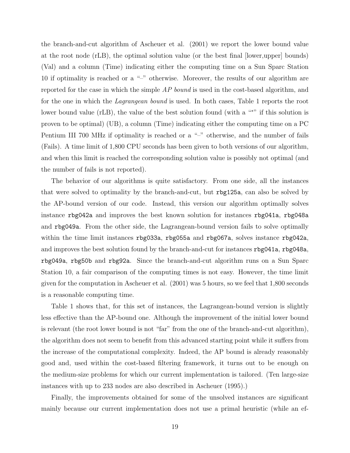the branch-and-cut algorithm of Ascheuer et al. (2001) we report the lower bound value at the root node (rLB), the optimal solution value (or the best final [lower,upper] bounds) (Val) and a column (Time) indicating either the computing time on a Sun Sparc Station 10 if optimality is reached or a "–" otherwise. Moreover, the results of our algorithm are reported for the case in which the simple AP bound is used in the cost-based algorithm, and for the one in which the Lagrangean bound is used. In both cases, Table 1 reports the root lower bound value (rLB), the value of the best solution found (with a "\*" if this solution is proven to be optimal) (UB), a column (Time) indicating either the computing time on a PC Pentium III 700 MHz if optimality is reached or a "–" otherwise, and the number of fails (Fails). A time limit of 1,800 CPU seconds has been given to both versions of our algorithm, and when this limit is reached the corresponding solution value is possibly not optimal (and the number of fails is not reported).

The behavior of our algorithms is quite satisfactory. From one side, all the instances that were solved to optimality by the branch-and-cut, but rbg125a, can also be solved by the AP-bound version of our code. Instead, this version our algorithm optimally solves instance rbg042a and improves the best known solution for instances rbg041a, rbg048a and rbg049a. From the other side, the Lagrangean-bound version fails to solve optimally within the time limit instances rbg033a, rbg055a and rbg067a, solves instance rbg042a, and improves the best solution found by the branch-and-cut for instances rbg041a, rbg048a, rbg049a, rbg50b and rbg92a. Since the branch-and-cut algorithm runs on a Sun Sparc Station 10, a fair comparison of the computing times is not easy. However, the time limit given for the computation in Ascheuer et al. (2001) was 5 hours, so we feel that 1,800 seconds is a reasonable computing time.

Table 1 shows that, for this set of instances, the Lagrangean-bound version is slightly less effective than the AP-bound one. Although the improvement of the initial lower bound is relevant (the root lower bound is not "far" from the one of the branch-and-cut algorithm), the algorithm does not seem to benefit from this advanced starting point while it suffers from the increase of the computational complexity. Indeed, the AP bound is already reasonably good and, used within the cost-based filtering framework, it turns out to be enough on the medium-size problems for which our current implementation is tailored. (Ten large-size instances with up to 233 nodes are also described in Ascheuer (1995).)

Finally, the improvements obtained for some of the unsolved instances are significant mainly because our current implementation does not use a primal heuristic (while an ef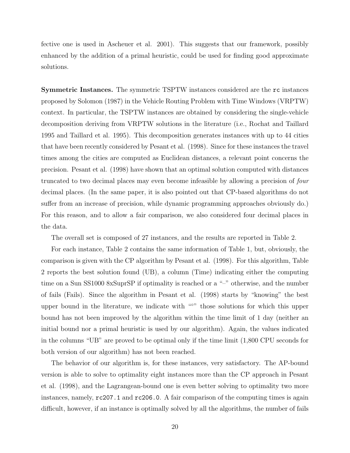fective one is used in Ascheuer et al. 2001). This suggests that our framework, possibly enhanced by the addition of a primal heuristic, could be used for finding good approximate solutions.

Symmetric Instances. The symmetric TSPTW instances considered are the rc instances proposed by Solomon (1987) in the Vehicle Routing Problem with Time Windows (VRPTW) context. In particular, the TSPTW instances are obtained by considering the single-vehicle decomposition deriving from VRPTW solutions in the literature (i.e., Rochat and Taillard 1995 and Taillard et al. 1995). This decomposition generates instances with up to 44 cities that have been recently considered by Pesant et al. (1998). Since for these instances the travel times among the cities are computed as Euclidean distances, a relevant point concerns the precision. Pesant et al. (1998) have shown that an optimal solution computed with distances truncated to two decimal places may even become infeasible by allowing a precision of four decimal places. (In the same paper, it is also pointed out that CP-based algorithms do not suffer from an increase of precision, while dynamic programming approaches obviously do.) For this reason, and to allow a fair comparison, we also considered four decimal places in the data.

The overall set is composed of 27 instances, and the results are reported in Table 2.

For each instance, Table 2 contains the same information of Table 1, but, obviously, the comparison is given with the CP algorithm by Pesant et al. (1998). For this algorithm, Table 2 reports the best solution found (UB), a column (Time) indicating either the computing time on a Sun SS1000 8xSuprSP if optimality is reached or a "–" otherwise, and the number of fails (Fails). Since the algorithm in Pesant et al. (1998) starts by "knowing" the best upper bound in the literature, we indicate with "<sup>⊙</sup>" those solutions for which this upper bound has not been improved by the algorithm within the time limit of 1 day (neither an initial bound nor a primal heuristic is used by our algorithm). Again, the values indicated in the columns "UB" are proved to be optimal only if the time limit (1,800 CPU seconds for both version of our algorithm) has not been reached.

The behavior of our algorithm is, for these instances, very satisfactory. The AP-bound version is able to solve to optimality eight instances more than the CP approach in Pesant et al. (1998), and the Lagrangean-bound one is even better solving to optimality two more instances, namely, rc207.1 and rc206.0. A fair comparison of the computing times is again difficult, however, if an instance is optimally solved by all the algorithms, the number of fails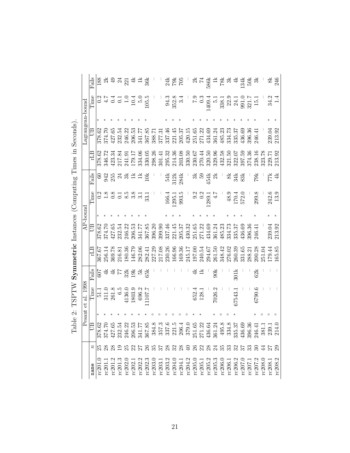|                                                                                                                                                                                                                                                                                                                                                                                                                                                                                                                                   |                |                                                                                                                                                                                                                                                                           | Pesant | al. 1998<br>ť                                 |               |        |        | $AP$ -bound |                                                                                                                                                                                                                                                                                                                                                                                      |               |        | Lagrangean-bound |                                                                                                                                                   |                              |
|-----------------------------------------------------------------------------------------------------------------------------------------------------------------------------------------------------------------------------------------------------------------------------------------------------------------------------------------------------------------------------------------------------------------------------------------------------------------------------------------------------------------------------------|----------------|---------------------------------------------------------------------------------------------------------------------------------------------------------------------------------------------------------------------------------------------------------------------------|--------|-----------------------------------------------|---------------|--------|--------|-------------|--------------------------------------------------------------------------------------------------------------------------------------------------------------------------------------------------------------------------------------------------------------------------------------------------------------------------------------------------------------------------------------|---------------|--------|------------------|---------------------------------------------------------------------------------------------------------------------------------------------------|------------------------------|
| name                                                                                                                                                                                                                                                                                                                                                                                                                                                                                                                              |                | ≘                                                                                                                                                                                                                                                                         |        | Time                                          | Fails         |        | B      |             | l'ime                                                                                                                                                                                                                                                                                                                                                                                | Fails         | ЕŢ     | B                | Time                                                                                                                                              | Fails                        |
|                                                                                                                                                                                                                                                                                                                                                                                                                                                                                                                                   | $\frac{n}{25}$ |                                                                                                                                                                                                                                                                           |        | $\overline{51}$                               | $\sqrt{607}$  | 367.67 | 378.62 |             |                                                                                                                                                                                                                                                                                                                                                                                      | $\frac{6}{3}$ | 378.62 | 378.62           | 0.2                                                                                                                                               | 188                          |
|                                                                                                                                                                                                                                                                                                                                                                                                                                                                                                                                   |                |                                                                                                                                                                                                                                                                           |        |                                               | न्रू          | 256.14 | 374.70 |             |                                                                                                                                                                                                                                                                                                                                                                                      |               | 346.72 | 374.70           | $\ddot{4}$ .7                                                                                                                                     |                              |
|                                                                                                                                                                                                                                                                                                                                                                                                                                                                                                                                   |                |                                                                                                                                                                                                                                                                           |        | $\begin{array}{c} 311.0 \\ 261.8 \end{array}$ | ₹             | 369.78 | 427.65 |             |                                                                                                                                                                                                                                                                                                                                                                                      | 942<br>255    | 423.34 | 427.65           |                                                                                                                                                   | Ģ,                           |
|                                                                                                                                                                                                                                                                                                                                                                                                                                                                                                                                   |                |                                                                                                                                                                                                                                                                           |        | $\ddot{6}$ .5                                 | 77            | 216.81 | 232.54 |             |                                                                                                                                                                                                                                                                                                                                                                                      | $\mathbb{Z}$  | 217.84 | 232.54           |                                                                                                                                                   |                              |
|                                                                                                                                                                                                                                                                                                                                                                                                                                                                                                                                   |                |                                                                                                                                                                                                                                                                           |        | 4136.0                                        | 32k           | 180.36 | 246.22 |             |                                                                                                                                                                                                                                                                                                                                                                                      | నే            | 241.91 | 246.22           |                                                                                                                                                   | $\frac{5}{2}$                |
|                                                                                                                                                                                                                                                                                                                                                                                                                                                                                                                                   |                |                                                                                                                                                                                                                                                                           |        | 1803.9                                        | $\frac{3}{2}$ | 146.79 | 206.53 |             | $\overline{0}$ $\overline{2}$ $\overline{3}$ $\overline{5}$ $\overline{6}$ $\overline{2}$ $\overline{6}$ $\overline{5}$ $\overline{6}$ $\overline{2}$ $\overline{6}$ $\overline{6}$ $\overline{6}$ $\overline{6}$ $\overline{6}$ $\overline{6}$ $\overline{6}$ $\overline{6}$ $\overline{6}$ $\overline{6}$ $\overline{6}$ $\overline{6}$ $\overline{6}$ $\overline{6}$ $\overline{$ |               | 179.17 | 206.53           | $0.1$<br>$0.1$<br>$10.4$<br>$105.5$<br>$105.5$                                                                                                    |                              |
|                                                                                                                                                                                                                                                                                                                                                                                                                                                                                                                                   |                |                                                                                                                                                                                                                                                                           |        | 696.2                                         | 몇             | 282.06 | 341.77 |             |                                                                                                                                                                                                                                                                                                                                                                                      | ∄             | 334.06 | 341.77           |                                                                                                                                                   | $44 \frac{1}{2}$             |
|                                                                                                                                                                                                                                                                                                                                                                                                                                                                                                                                   |                |                                                                                                                                                                                                                                                                           |        | 1107.7                                        | 65k           | 282.41 | 367.85 |             |                                                                                                                                                                                                                                                                                                                                                                                      | $\vec{0}$     | 330.05 | 367.85           |                                                                                                                                                   |                              |
|                                                                                                                                                                                                                                                                                                                                                                                                                                                                                                                                   |                |                                                                                                                                                                                                                                                                           |        |                                               |               | 227.29 | 396.20 |             |                                                                                                                                                                                                                                                                                                                                                                                      |               | 298.26 | 388.71           |                                                                                                                                                   |                              |
|                                                                                                                                                                                                                                                                                                                                                                                                                                                                                                                                   |                |                                                                                                                                                                                                                                                                           |        |                                               |               | 217.08 | 399.90 |             |                                                                                                                                                                                                                                                                                                                                                                                      |               | 301.41 | 377.31           |                                                                                                                                                   |                              |
|                                                                                                                                                                                                                                                                                                                                                                                                                                                                                                                                   |                |                                                                                                                                                                                                                                                                           |        |                                               |               | 230.26 | 337.46 |             |                                                                                                                                                                                                                                                                                                                                                                                      | 54k           | 295.32 | 337.46           |                                                                                                                                                   |                              |
|                                                                                                                                                                                                                                                                                                                                                                                                                                                                                                                                   |                |                                                                                                                                                                                                                                                                           |        |                                               |               | 166.96 | 221.45 |             | $\begin{array}{c} 166.4 \\ 1295.1 \\ 993.5 \end{array}$                                                                                                                                                                                                                                                                                                                              | 312k          | 214.36 | 221.45           | $94.3$<br>$352.8$<br>$3.4$                                                                                                                        | 24<br>202<br>202             |
|                                                                                                                                                                                                                                                                                                                                                                                                                                                                                                                                   |                |                                                                                                                                                                                                                                                                           |        |                                               |               | 169.36 | 205.37 |             |                                                                                                                                                                                                                                                                                                                                                                                      | 284k          | 203.08 | 205.37           |                                                                                                                                                   |                              |
|                                                                                                                                                                                                                                                                                                                                                                                                                                                                                                                                   |                |                                                                                                                                                                                                                                                                           |        |                                               |               | 245.17 | 430.32 |             |                                                                                                                                                                                                                                                                                                                                                                                      |               | 330.50 | 420.15           |                                                                                                                                                   |                              |
|                                                                                                                                                                                                                                                                                                                                                                                                                                                                                                                                   |                |                                                                                                                                                                                                                                                                           |        | 652.4<br>128.1                                |               | 197.00 | 251.65 |             |                                                                                                                                                                                                                                                                                                                                                                                      | ನೆ            | 230.67 | 251.65           |                                                                                                                                                   | ನ                            |
|                                                                                                                                                                                                                                                                                                                                                                                                                                                                                                                                   |                |                                                                                                                                                                                                                                                                           |        |                                               |               | 240.54 | 271.22 |             |                                                                                                                                                                                                                                                                                                                                                                                      | 59            | 270.44 | 271.22           |                                                                                                                                                   | $\overline{7}$               |
|                                                                                                                                                                                                                                                                                                                                                                                                                                                                                                                                   |                |                                                                                                                                                                                                                                                                           |        |                                               |               | 294.67 | 434.69 |             | 9.2<br>0.2<br>1289.1<br>4.7                                                                                                                                                                                                                                                                                                                                                          | 454k          | 320.50 | 434.69           |                                                                                                                                                   |                              |
|                                                                                                                                                                                                                                                                                                                                                                                                                                                                                                                                   |                |                                                                                                                                                                                                                                                                           |        | 7026.2                                        | 90k           | 261.50 | 361.24 |             |                                                                                                                                                                                                                                                                                                                                                                                      | X             | 329.96 | 361.24           |                                                                                                                                                   |                              |
|                                                                                                                                                                                                                                                                                                                                                                                                                                                                                                                                   |                |                                                                                                                                                                                                                                                                           |        |                                               |               | 348.42 | 485.23 |             |                                                                                                                                                                                                                                                                                                                                                                                      |               | 432.58 | 485.23           | $\begin{array}{r} \text{7.9} \\ 0.3 \\ 0.3 \\ 1409.4 \\ \text{5.1} \\ 3.8.1 \\ 2.9 \\ 2.1 \\ 0 \\ 3.1 \\ 1.5 \\ 1.1 \\ 1.5 \\ 1.1 \\ \end{array}$ | 1995<br>1995<br>1995<br>1995 |
|                                                                                                                                                                                                                                                                                                                                                                                                                                                                                                                                   |                |                                                                                                                                                                                                                                                                           |        |                                               |               | 276.02 | 334.73 |             |                                                                                                                                                                                                                                                                                                                                                                                      | ಹೆ            | 321.50 | 334.73           |                                                                                                                                                   |                              |
|                                                                                                                                                                                                                                                                                                                                                                                                                                                                                                                                   |                |                                                                                                                                                                                                                                                                           |        | 37543.                                        | 301k          | 260.39 | 335.37 |             | $\frac{48.9}{170.4}$                                                                                                                                                                                                                                                                                                                                                                 | 34k           | 322.07 | 335.37           |                                                                                                                                                   | $\ddot{=}$                   |
|                                                                                                                                                                                                                                                                                                                                                                                                                                                                                                                                   |                |                                                                                                                                                                                                                                                                           |        |                                               |               | 331.65 | 436.69 |             |                                                                                                                                                                                                                                                                                                                                                                                      | 83k           | 397.59 | 436.69           |                                                                                                                                                   | $\frac{134k}{50k}$           |
|                                                                                                                                                                                                                                                                                                                                                                                                                                                                                                                                   |                |                                                                                                                                                                                                                                                                           |        |                                               |               | 288.21 | 396.36 |             |                                                                                                                                                                                                                                                                                                                                                                                      |               | 374.36 | 396.36           |                                                                                                                                                   |                              |
|                                                                                                                                                                                                                                                                                                                                                                                                                                                                                                                                   | 23 24 25       |                                                                                                                                                                                                                                                                           |        | 6790.6                                        | 62k           | 200.28 | 246.41 |             | 299.8                                                                                                                                                                                                                                                                                                                                                                                | 79k           | 238.16 | 246.41           |                                                                                                                                                   | ਨੱ                           |
|                                                                                                                                                                                                                                                                                                                                                                                                                                                                                                                                   |                |                                                                                                                                                                                                                                                                           |        |                                               |               | 251.04 |        |             |                                                                                                                                                                                                                                                                                                                                                                                      |               | 323.78 |                  |                                                                                                                                                   |                              |
|                                                                                                                                                                                                                                                                                                                                                                                                                                                                                                                                   |                |                                                                                                                                                                                                                                                                           |        |                                               |               | 179.44 | 239.04 |             | 242.6                                                                                                                                                                                                                                                                                                                                                                                | 77k           | 229.71 | 239.04           | 34.2                                                                                                                                              | ž,                           |
| $[ \begin{smallmatrix} [0] \ 1 \ 0 \ 1 \end{smallmatrix} ] \begin{smallmatrix} [0] \ 1 \ 0 \end{smallmatrix} ] \begin{smallmatrix} [0] \ 1 \ 0 \end{smallmatrix} ] \begin{smallmatrix} [0] \ 1 \ 0 \end{smallmatrix} ] \begin{smallmatrix} [0] \ 1 \ 0 \end{smallmatrix} ] \begin{smallmatrix} [0] \ 1 \ 0 \end{smallmatrix} ] \begin{smallmatrix} [0] \ 1 \ 0 \end{smallmatrix} ] \begin{smallmatrix} [0] \ 1 \ 0 \end{smallmatrix} ] \begin{smallmatrix} [0] \ 1 \ 0 \end{smallmatrix} ] \begin{smallmatrix} [0] \ 1 \ 0 \end{$ |                | $\begin{array}{l} 18.666\\ 78.76\\ 87.76\\ 79.76\\ 87.76\\ 98.37\\ 29.4\\ 20.5\\ 37.7\\ 24.7\\ 25.7\\ 26.7\\ 27.7\\ 28.4\\ 29.7\\ 20.7\\ 20.7\\ 27.7\\ 28.7\\ 29.7\\ 20.7\\ 27.7\\ 28.7\\ 29.7\\ 20.7\\ 27.7\\ 28.7\\ 29.7\\ 29.7\\ 20.7\\ 20.7\\ 20.7\\ 20.7\\ 20.7\\ 2$ |        |                                               |               | 165.85 | 213.92 |             | 13.9                                                                                                                                                                                                                                                                                                                                                                                 | 4k            | 213.92 | 213.92           |                                                                                                                                                   | 246                          |

Table 2: TSPTW Symmetric Instances (Computing Times in Seconds).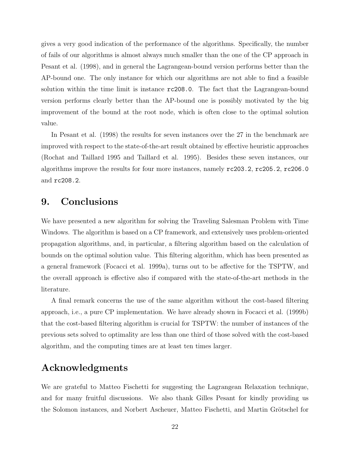gives a very good indication of the performance of the algorithms. Specifically, the number of fails of our algorithms is almost always much smaller than the one of the CP approach in Pesant et al. (1998), and in general the Lagrangean-bound version performs better than the AP-bound one. The only instance for which our algorithms are not able to find a feasible solution within the time limit is instance rc208.0. The fact that the Lagrangean-bound version performs clearly better than the AP-bound one is possibly motivated by the big improvement of the bound at the root node, which is often close to the optimal solution value.

In Pesant et al. (1998) the results for seven instances over the 27 in the benchmark are improved with respect to the state-of-the-art result obtained by effective heuristic approaches (Rochat and Taillard 1995 and Taillard et al. 1995). Besides these seven instances, our algorithms improve the results for four more instances, namely rc203.2, rc205.2, rc206.0 and rc208.2.

# 9. Conclusions

We have presented a new algorithm for solving the Traveling Salesman Problem with Time Windows. The algorithm is based on a CP framework, and extensively uses problem-oriented propagation algorithms, and, in particular, a filtering algorithm based on the calculation of bounds on the optimal solution value. This filtering algorithm, which has been presented as a general framework (Focacci et al. 1999a), turns out to be affective for the TSPTW, and the overall approach is effective also if compared with the state-of-the-art methods in the literature.

A final remark concerns the use of the same algorithm without the cost-based filtering approach, i.e., a pure CP implementation. We have already shown in Focacci et al. (1999b) that the cost-based filtering algorithm is crucial for TSPTW: the number of instances of the previous sets solved to optimality are less than one third of those solved with the cost-based algorithm, and the computing times are at least ten times larger.

# Acknowledgments

We are grateful to Matteo Fischetti for suggesting the Lagrangean Relaxation technique, and for many fruitful discussions. We also thank Gilles Pesant for kindly providing us the Solomon instances, and Norbert Ascheuer, Matteo Fischetti, and Martin Grötschel for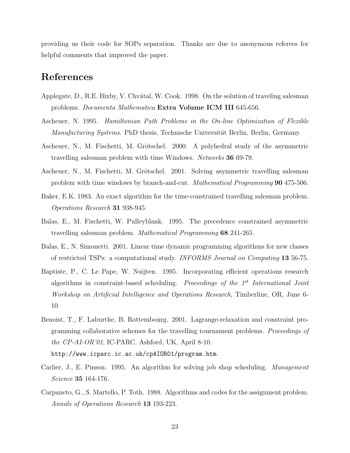providing us their code for SOPs separation. Thanks are due to anonymous referees for helpful comments that improved the paper.

# References

- Applegate, D., R.E. Bixby, V. Chvátal, W. Cook. 1998. On the solution of traveling salesman problems. *Documenta Mathematica* Extra Volume ICM III 645-656.
- Ascheuer, N. 1995. Hamiltonian Path Problems in the On-line Optimization of Flexible Manufacturing Systems. PhD thesis, Technische Universität Berlin, Berlin, Germany.
- Ascheuer, N., M. Fischetti, M. Grötschel. 2000. A polyhedral study of the asymmetric travelling salesman problem with time Windows. Networks 36 69-79.
- Ascheuer, N., M. Fischetti, M. Grötschel. 2001. Solving asymmetric travelling salesman problem with time windows by branch-and-cut. Mathematical Programming 90 475-506.
- Baker, E.K. 1983. An exact algorithm for the time-constrained travelling salesman problem. Operations Research 31 938-945.
- Balas, E., M. Fischetti, W. Pulleyblank. 1995. The precedence constrained asymmetric travelling salesman problem. Mathematical Programming 68 241-265.
- Balas, E., N. Simonetti. 2001. Linear time dynamic programming algorithms for new classes of restricted TSPs: a computational study. INFORMS Journal on Computing 13 56-75.
- Baptiste, P., C. Le Pape, W. Nuijten. 1995. Incorporating efficient operations research algorithms in constraint-based scheduling. Proceedings of the  $1^{st}$  International Joint Workshop on Artificial Intelligence and Operations Research, Timberline, OR, June 6- 10.
- Benoist, T., F. Laburthe, B. Rottembourg. 2001. Lagrange-relaxation and constraint programming collaborative schemes for the travelling tournament problems. Proceedings of the CP-AI-OR'01, IC-PARC, Ashford, UK, April 8-10. http://www.icparc.ic.ac.uk/cpAIOR01/program.htm.
- Carlier, J., E. Pinson. 1995. An algorithm for solving job shop scheduling. Management Science 35 164-176.
- Carpaneto, G., S. Martello, P. Toth. 1988. Algorithms and codes for the assignment problem. Annals of Operations Research 13 193-223.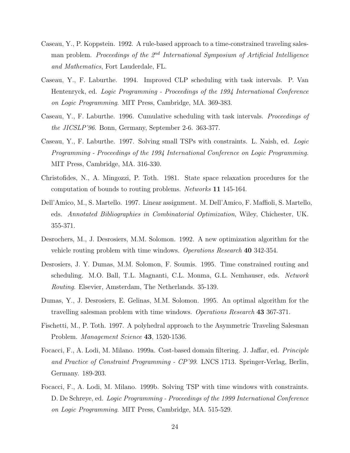- Caseau, Y., P. Koppstein. 1992. A rule-based approach to a time-constrained traveling salesman problem. Proceedings of the  $\mathbb{Z}^{nd}$  International Symposium of Artificial Intelligence and Mathematics, Fort Lauderdale, FL.
- Caseau, Y., F. Laburthe. 1994. Improved CLP scheduling with task intervals. P. Van Hentenryck, ed. Logic Programming - Proceedings of the 1994 International Conference on Logic Programming. MIT Press, Cambridge, MA. 369-383.
- Caseau, Y., F. Laburthe. 1996. Cumulative scheduling with task intervals. Proceedings of the JICSLP'96. Bonn, Germany, September 2-6. 363-377.
- Caseau, Y., F. Laburthe. 1997. Solving small TSPs with constraints. L. Naish, ed. Logic Programming - Proceedings of the 1994 International Conference on Logic Programming. MIT Press, Cambridge, MA. 316-330.
- Christofides, N., A. Mingozzi, P. Toth. 1981. State space relaxation procedures for the computation of bounds to routing problems. Networks 11 145-164.
- Dell'Amico, M., S. Martello. 1997. Linear assignment. M. Dell'Amico, F. Maffioli, S. Martello, eds. Annotated Bibliographies in Combinatorial Optimization, Wiley, Chichester, UK. 355-371.
- Desrochers, M., J. Desrosiers, M.M. Solomon. 1992. A new optimization algorithm for the vehicle routing problem with time windows. *Operations Research* 40 342-354.
- Desrosiers, J. Y. Dumas, M.M. Solomon, F. Soumis. 1995. Time constrained routing and scheduling. M.O. Ball, T.L. Magnanti, C.L. Monma, G.L. Nemhauser, eds. Network Routing. Elsevier, Amsterdam, The Netherlands. 35-139.
- Dumas, Y., J. Desrosiers, E. Gelinas, M.M. Solomon. 1995. An optimal algorithm for the travelling salesman problem with time windows. *Operations Research* 43 367-371.
- Fischetti, M., P. Toth. 1997. A polyhedral approach to the Asymmetric Traveling Salesman Problem. Management Science 43, 1520-1536.
- Focacci, F., A. Lodi, M. Milano. 1999a. Cost-based domain filtering. J. Jaffar, ed. Principle and Practice of Constraint Programming - CP'99. LNCS 1713. Springer-Verlag, Berlin, Germany. 189-203.
- Focacci, F., A. Lodi, M. Milano. 1999b. Solving TSP with time windows with constraints. D. De Schreye, ed. Logic Programming - Proceedings of the 1999 International Conference on Logic Programming. MIT Press, Cambridge, MA. 515-529.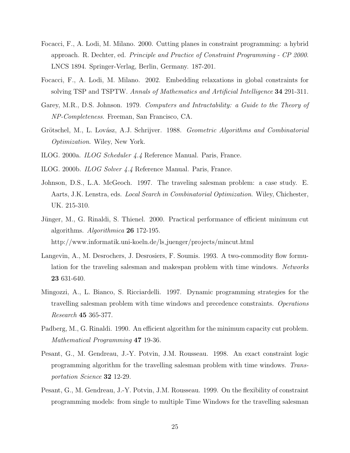- Focacci, F., A. Lodi, M. Milano. 2000. Cutting planes in constraint programming: a hybrid approach. R. Dechter, ed. Principle and Practice of Constraint Programming - CP 2000. LNCS 1894. Springer-Verlag, Berlin, Germany. 187-201.
- Focacci, F., A. Lodi, M. Milano. 2002. Embedding relaxations in global constraints for solving TSP and TSPTW. Annals of Mathematics and Artificial Intelligence 34 291-311.
- Garey, M.R., D.S. Johnson. 1979. Computers and Intractability: a Guide to the Theory of NP-Completeness. Freeman, San Francisco, CA.
- Grötschel, M., L. Lovász, A.J. Schrijver. 1988. Geometric Algorithms and Combinatorial Optimization. Wiley, New York.
- ILOG. 2000a. ILOG Scheduler 4.4 Reference Manual. Paris, France.
- ILOG. 2000b. ILOG Solver 4.4 Reference Manual. Paris, France.
- Johnson, D.S., L.A. McGeoch. 1997. The traveling salesman problem: a case study. E. Aarts, J.K. Lenstra, eds. Local Search in Combinatorial Optimization. Wiley, Chichester, UK. 215-310.
- Jünger, M., G. Rinaldi, S. Thienel. 2000. Practical performance of efficient minimum cut algorithms. Algorithmica 26 172-195. http://www.informatik.uni-koeln.de/ls juenger/projects/mincut.html
- Langevin, A., M. Desrochers, J. Desrosiers, F. Soumis. 1993. A two-commodity flow formulation for the traveling salesman and makespan problem with time windows. Networks 23 631-640.
- Mingozzi, A., L. Bianco, S. Ricciardelli. 1997. Dynamic programming strategies for the travelling salesman problem with time windows and precedence constraints. Operations Research 45 365-377.
- Padberg, M., G. Rinaldi. 1990. An efficient algorithm for the minimum capacity cut problem. Mathematical Programming 47 19-36.
- Pesant, G., M. Gendreau, J.-Y. Potvin, J.M. Rousseau. 1998. An exact constraint logic programming algorithm for the travelling salesman problem with time windows. Transportation Science 32 12-29.
- Pesant, G., M. Gendreau, J.-Y. Potvin, J.M. Rousseau. 1999. On the flexibility of constraint programming models: from single to multiple Time Windows for the travelling salesman